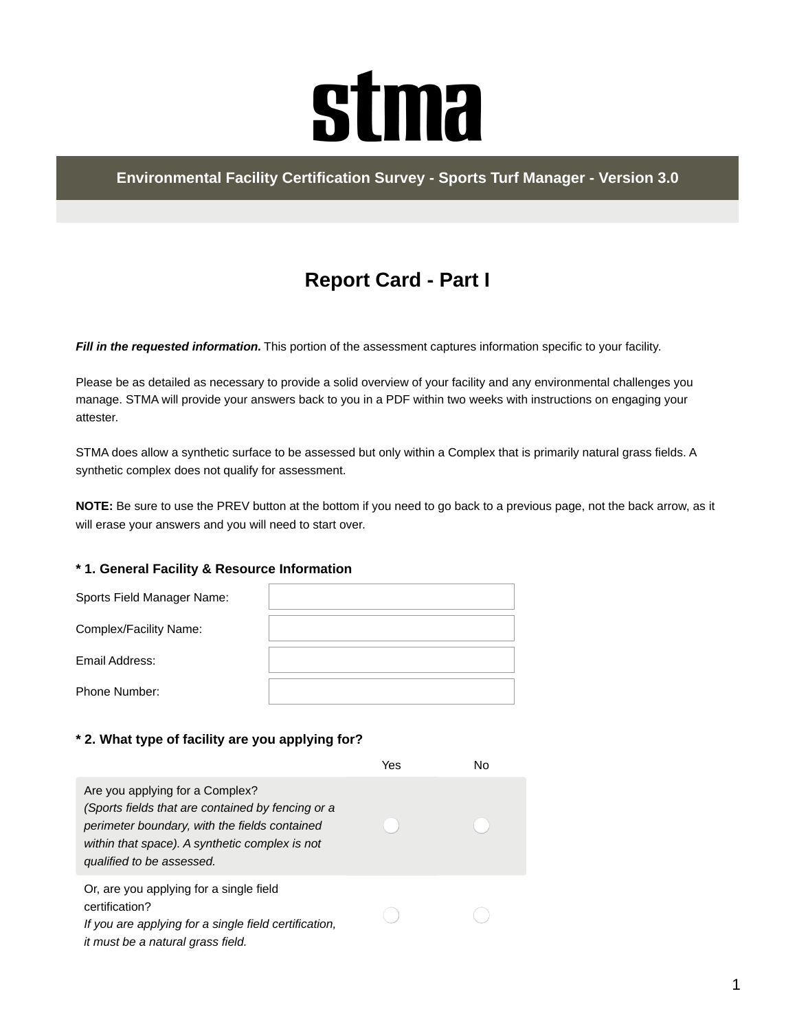# **stma**

#### **Environmental Facility Certification Survey - Sports Turf Manager - Version 3.0**

## **Report Card - Part I**

*Fill in the requested information.* This portion of the assessment captures information specific to your facility.

Please be as detailed as necessary to provide a solid overview of your facility and any environmental challenges you manage. STMA will provide your answers back to you in a PDF within two weeks with instructions on engaging your attester.

STMA does allow a synthetic surface to be assessed but only within a Complex that is primarily natural grass fields. A synthetic complex does not qualify for assessment.

**NOTE:** Be sure to use the PREV button at the bottom if you need to go back to a previous page, not the back arrow, as it will erase your answers and you will need to start over.

#### **\* 1. General Facility & Resource Information**

| Sports Field Manager Name: |  |
|----------------------------|--|
| Complex/Facility Name:     |  |
| Email Address:             |  |
| Phone Number:              |  |

#### **\* 2. What type of facility are you applying for?**

|                                                                                                                                                                                                                      | Yes | N٥ |
|----------------------------------------------------------------------------------------------------------------------------------------------------------------------------------------------------------------------|-----|----|
| Are you applying for a Complex?<br>(Sports fields that are contained by fencing or a<br>perimeter boundary, with the fields contained<br>within that space). A synthetic complex is not<br>qualified to be assessed. |     |    |
| Or, are you applying for a single field<br>certification?<br>If you are applying for a single field certification,<br>it must be a natural grass field.                                                              |     |    |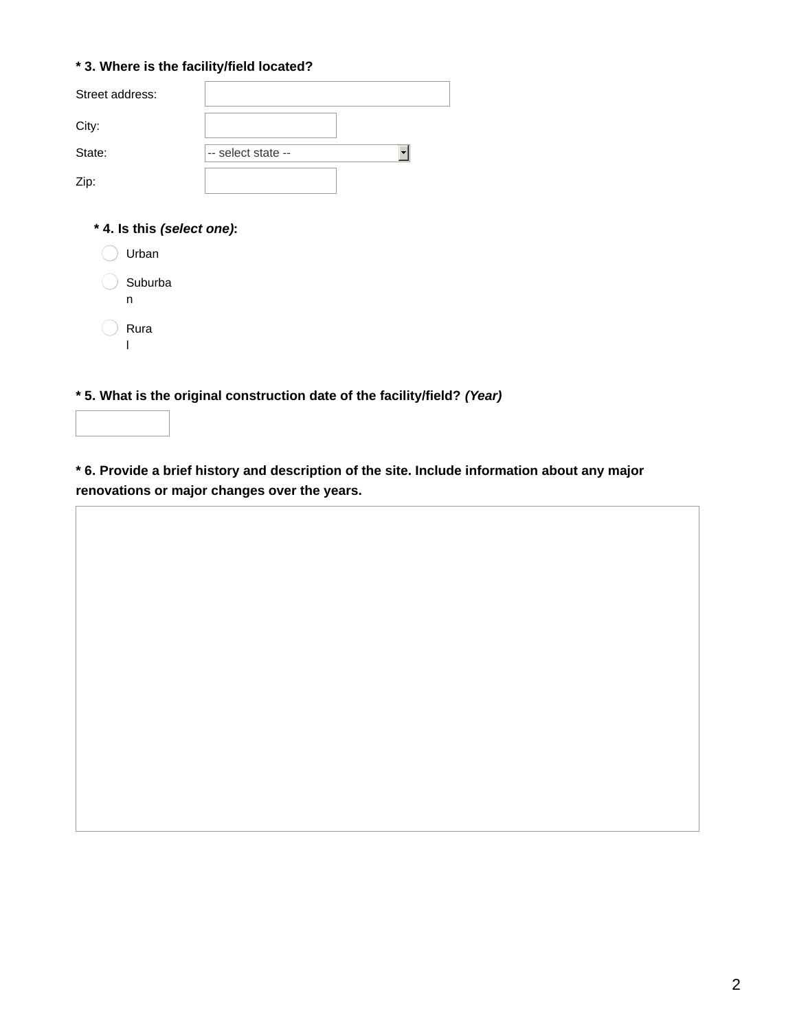#### **\* 3. Where is the facility/field located?**

| Street address: |                    |  |
|-----------------|--------------------|--|
| City:           |                    |  |
| State:          | -- select state -- |  |
| Zip:            |                    |  |

#### **\* 4. Is this** *(select one)***:**

| Urban        |
|--------------|
| Suburba<br>n |
| Rura         |

**\* 5. What is the original construction date of the facility/field?** *(Year)*

**\* 6. Provide a brief history and description of the site. Include information about any major renovations or major changes over the years.**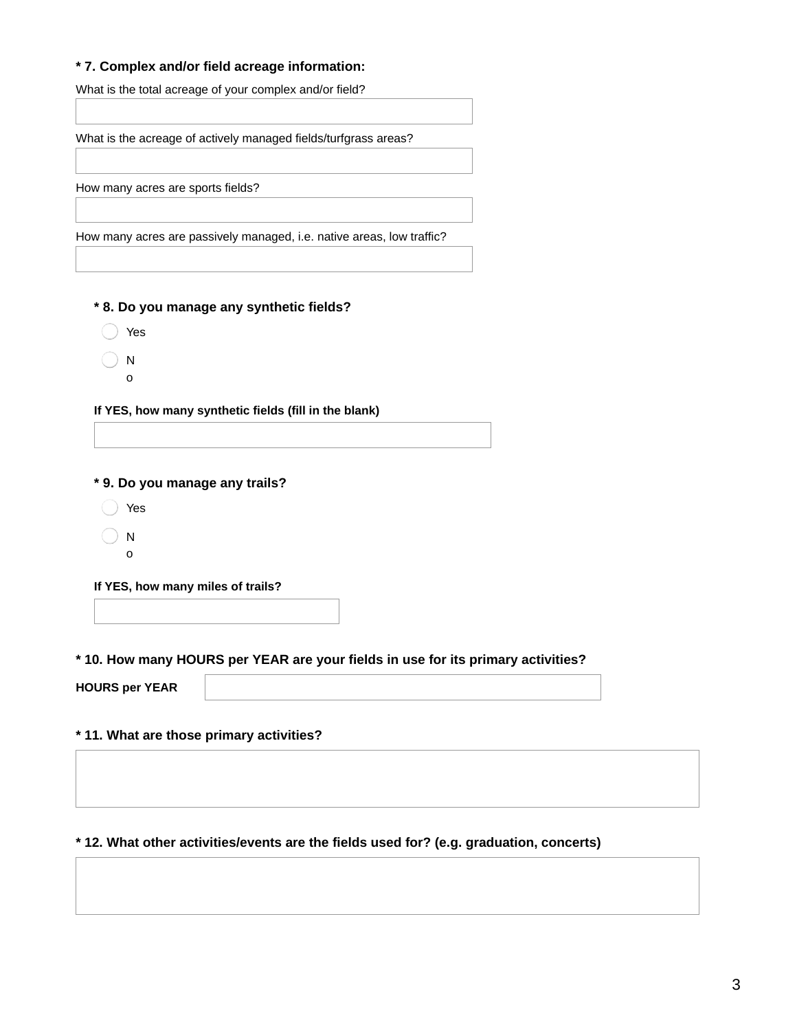#### **\* 7. Complex and/or field acreage information:**

What is the total acreage of your complex and/or field?

What is the acreage of actively managed fields/turfgrass areas?

How many acres are sports fields?

How many acres are passively managed, i.e. native areas, low traffic?

**\* 8. Do you manage any synthetic fields?**

- Yes
- N o

**If YES, how many synthetic fields (fill in the blank)**

**\* 9. Do you manage any trails?**

- ◯ Yes
- $\bigcap$  N
- o

**If YES, how many miles of trails?**

**\* 10. How many HOURS per YEAR are your fields in use for its primary activities?**

**HOURS per YEAR**

**\* 11. What are those primary activities?**

#### **\* 12. What other activities/events are the fields used for? (e.g. graduation, concerts)**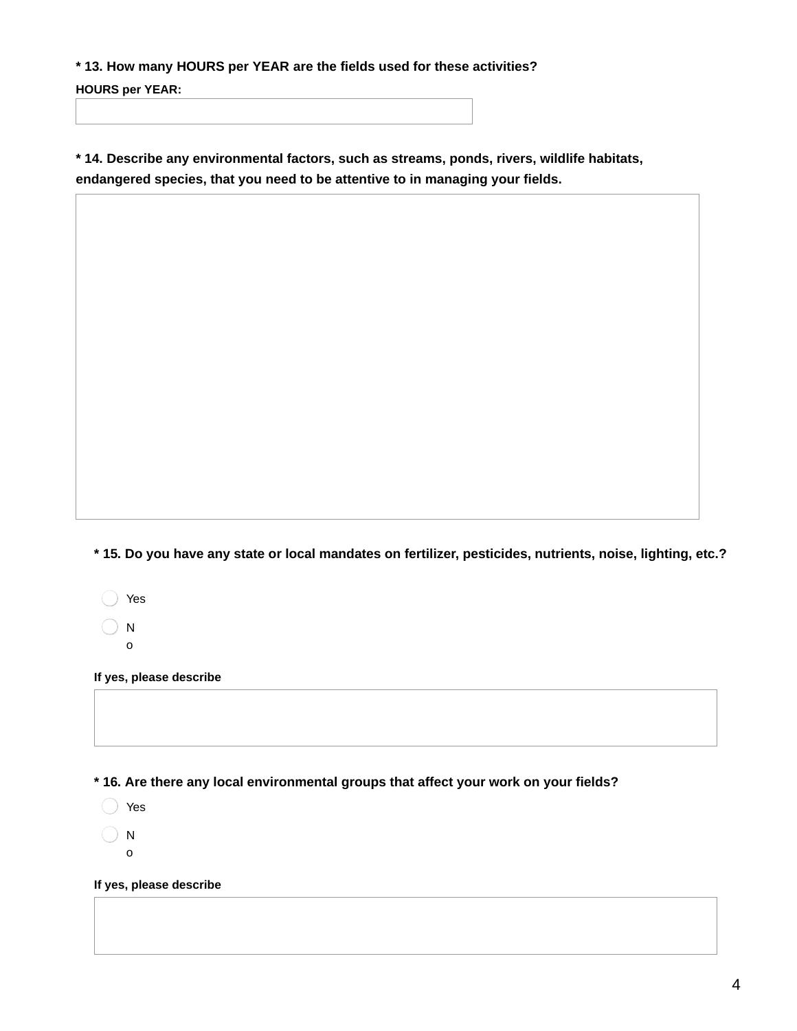**\* 13. How many HOURS per YEAR are the fields used for these activities?**

**HOURS per YEAR:**

**\* 14. Describe any environmental factors, such as streams, ponds, rivers, wildlife habitats, endangered species, that you need to be attentive to in managing your fields.**

\* 15. Do you have any state or local mandates on fertilizer, pesticides, nutrients, noise, lighting, etc.?

- ◯ Yes
- $\bigcirc$  N o

**If yes, please describe**

**\* 16. Are there any local environmental groups that affect your work on your fields?**

◯ Yes

 $\bigcirc$  N

o

**If yes, please describe**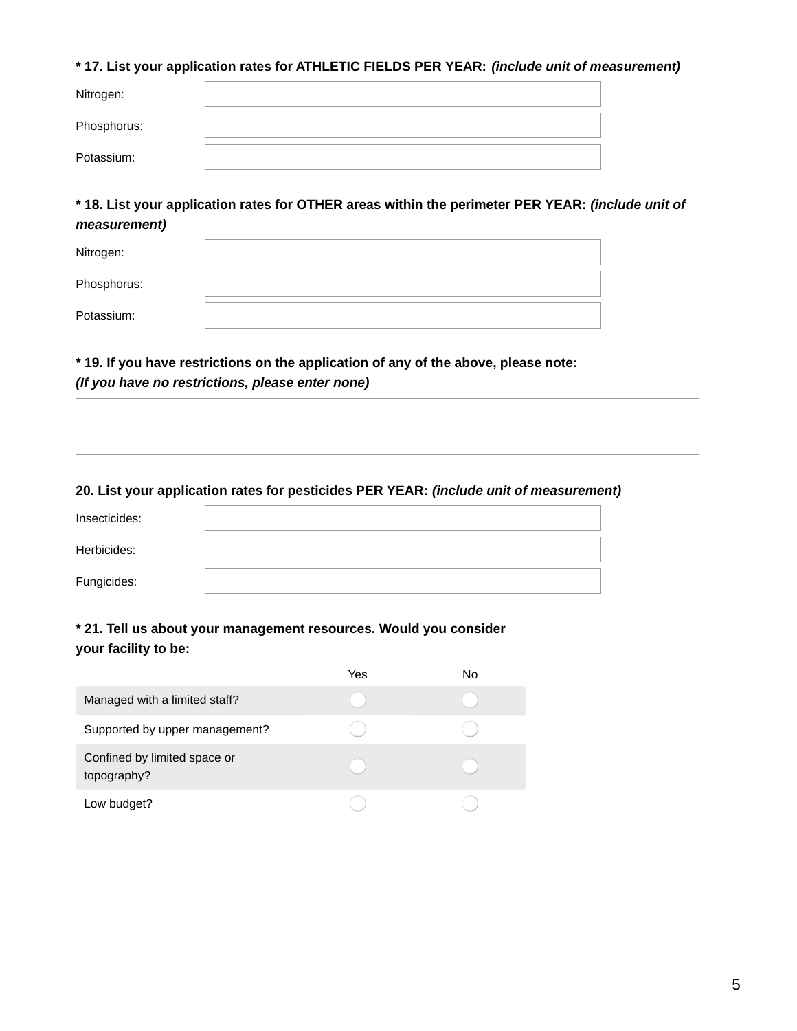#### **\* 17. List your application rates for ATHLETIC FIELDS PER YEAR:** *(include unit of measurement)*

| Nitrogen:   |  |
|-------------|--|
|             |  |
| Phosphorus: |  |
|             |  |
| Potassium:  |  |
|             |  |

**\* 18. List your application rates for OTHER areas within the perimeter PER YEAR:** *(include unit of measurement)*

| Nitrogen:   |  |
|-------------|--|
| Phosphorus: |  |
| Potassium:  |  |

#### **\* 19. If you have restrictions on the application of any of the above, please note:** *(If you have no restrictions, please enter none)*

#### **20. List your application rates for pesticides PER YEAR:** *(include unit of measurement)*

| Insecticides: |  |
|---------------|--|
| Herbicides:   |  |
| Fungicides:   |  |

#### **\* 21. Tell us about your management resources. Would you consider your facility to be:**

|                                             | Yes | No |
|---------------------------------------------|-----|----|
| Managed with a limited staff?               |     |    |
| Supported by upper management?              |     |    |
| Confined by limited space or<br>topography? |     |    |
| Low budget?                                 |     |    |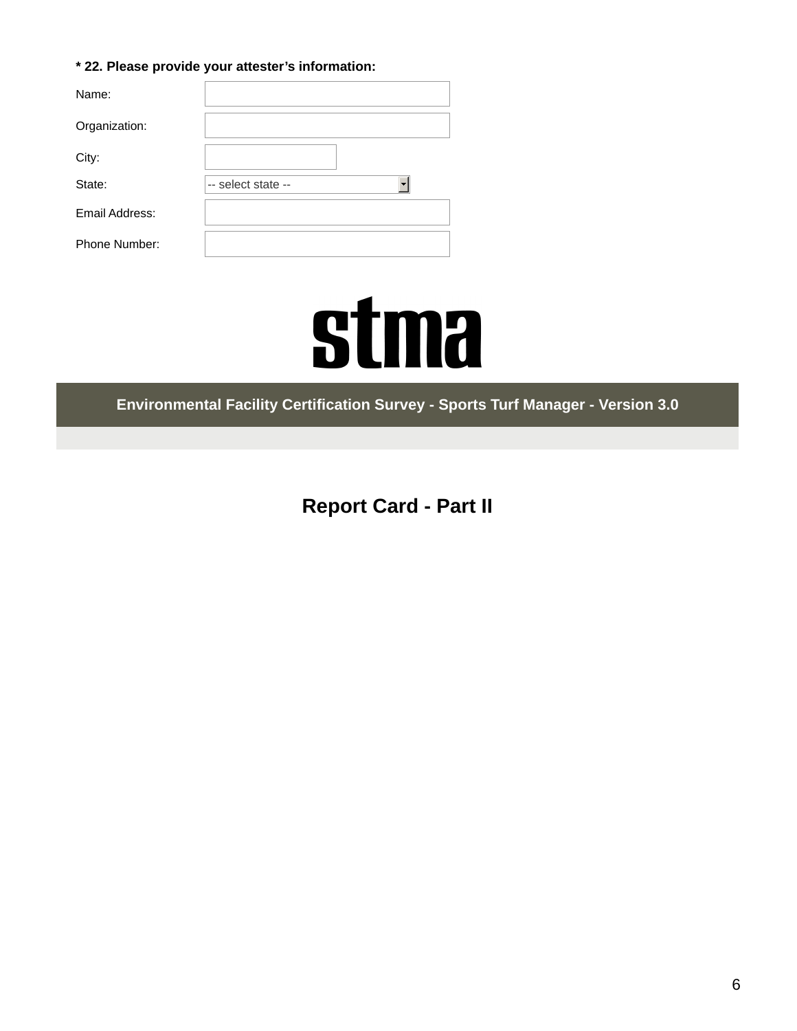#### **\* 22. Please provide your attester's information:**

| Name:          |                    |
|----------------|--------------------|
| Organization:  |                    |
| City:          |                    |
| State:         | -- select state -- |
| Email Address: |                    |
| Phone Number:  |                    |

# **stma**

**Environmental Facility Certification Survey - Sports Turf Manager - Version 3.0**

**Report Card - Part II**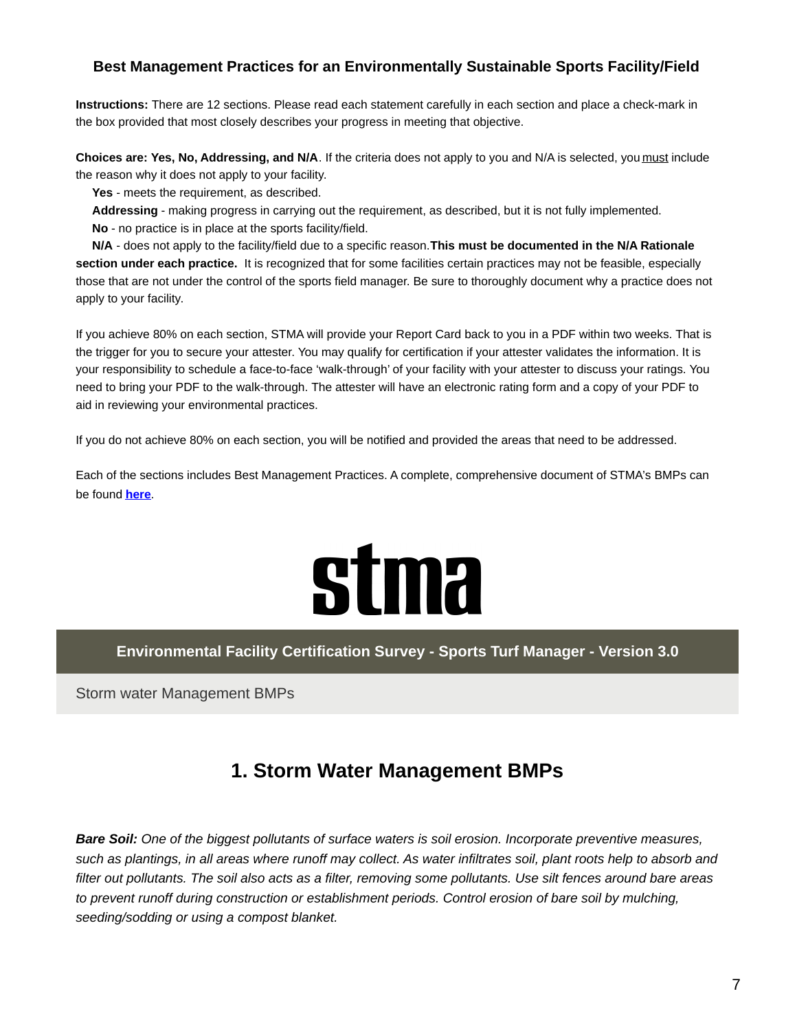#### **Best Management Practices for an Environmentally Sustainable Sports Facility/Field**

**Instructions:** There are 12 sections. Please read each statement carefully in each section and place a check-mark in the box provided that most closely describes your progress in meeting that objective.

**Choices are: Yes, No, Addressing, and N/A**. If the criteria does not apply to you and N/A is selected, you must include the reason why it does not apply to your facility.

**Yes** - meets the requirement, as described.

**Addressing** - making progress in carrying out the requirement, as described, but it is not fully implemented. **No** - no practice is in place at the sports facility/field.

**N/A** - does not apply to the facility/field due to a specific reason.**This must be documented in the N/A Rationale section under each practice.** It is recognized that for some facilities certain practices may not be feasible, especially those that are not under the control of the sports field manager. Be sure to thoroughly document why a practice does not apply to your facility.

If you achieve 80% on each section, STMA will provide your Report Card back to you in a PDF within two weeks. That is the trigger for you to secure your attester. You may qualify for certification if your attester validates the information. It is your responsibility to schedule a face-to-face 'walk-through' of your facility with your attester to discuss your ratings. You need to bring your PDF to the walk-through. The attester will have an electronic rating form and a copy of your PDF to aid in reviewing your environmental practices.

If you do not achieve 80% on each section, you will be notified and provided the areas that need to be addressed.

Each of the sections includes Best Management Practices. A complete, comprehensive document of STMA's BMPs can be found **[here](https://www.stma.org/knowledge_center/bmps/)**.

## **stma**

**Environmental Facility Certification Survey - Sports Turf Manager - Version 3.0**

Storm water Management BMPs

### **1. Storm Water Management BMPs**

*Bare Soil: One of the biggest pollutants of surface waters is soil erosion. Incorporate preventive measures,* such as plantings, in all areas where runoff may collect. As water infiltrates soil, plant roots help to absorb and filter out pollutants. The soil also acts as a filter, removing some pollutants. Use silt fences around bare areas *to prevent runoff during construction or establishment periods. Control erosion of bare soil by mulching, seeding/sodding or using a compost blanket.*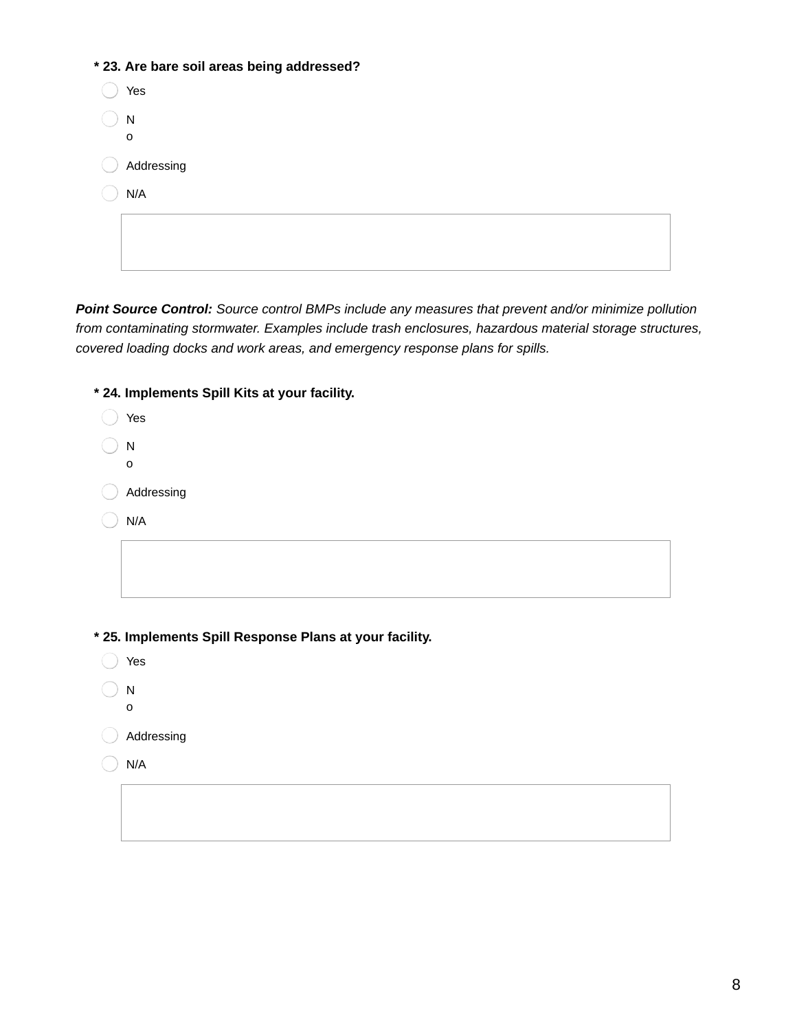| * 23. Are bare soil areas being addressed? |
|--------------------------------------------|
| Yes                                        |
| N                                          |
| $\mathbf 0$                                |
| Addressing                                 |
| N/A                                        |
|                                            |
|                                            |
|                                            |

*Point Source Control: Source control BMPs include any measures that prevent and/or minimize pollution from contaminating stormwater. Examples include trash enclosures, hazardous material storage structures, covered loading docks and work areas, and emergency response plans for spills.*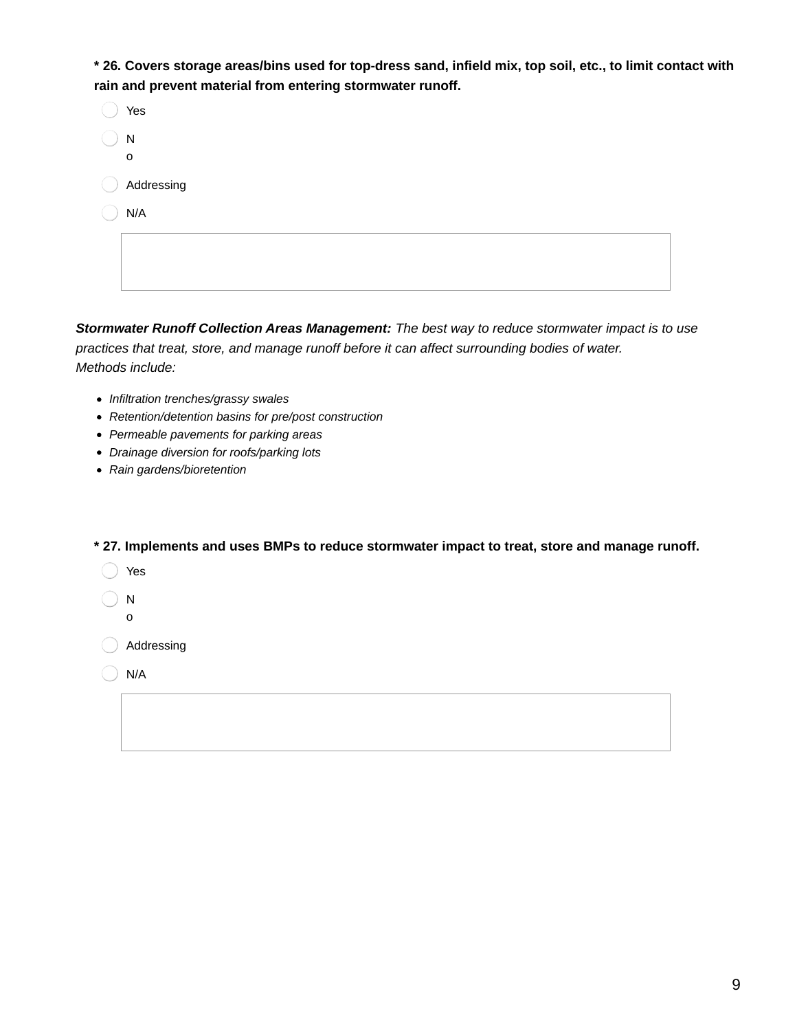\* 26. Covers storage areas/bins used for top-dress sand, infield mix, top soil, etc., to limit contact with **rain and prevent material from entering stormwater runoff.**

| Yes        |
|------------|
| ${\sf N}$  |
| O          |
| Addressing |
| N/A        |
|            |
|            |
|            |

*Stormwater Runoff Collection Areas Management: The best way to reduce stormwater impact is to use practices that treat, store, and manage runoff before it can affect surrounding bodies of water. Methods include:*

- *Infiltration trenches/grassy swales*
- *Retention/detention basins for pre/post construction*
- *Permeable pavements for parking areas*
- *Drainage diversion for roofs/parking lots*
- *Rain gardens/bioretention*

**\* 27. Implements and uses BMPs to reduce stormwater impact to treat, store and manage runoff.**

- Yes
- N
- o

Addressing

 $\bigcirc$  N/A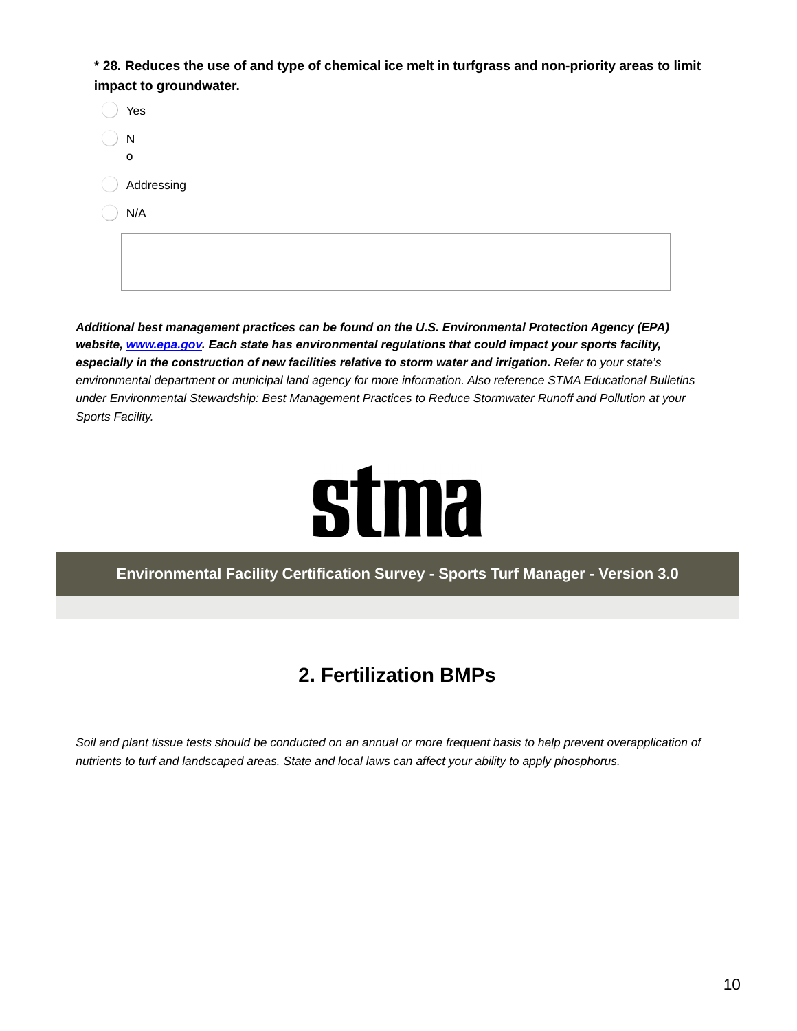\* 28. Reduces the use of and type of chemical ice melt in turfgrass and non-priority areas to limit **impact to groundwater.**

| Yes          |
|--------------|
| N            |
| $\mathsf{o}$ |
| Addressing   |
| N/A          |
|              |
|              |
|              |

*Additional best management practices can be found on the U.S. Environmental Protection Agency (EPA) website, [www.epa.gov](http://www.epa.gov). Each state has environmental regulations that could impact your sports facility,* especially in the construction of new facilities relative to storm water and irrigation. Refer to your state's *environmental department or municipal land agency for more information. Also reference STMA Educational Bulletins under Environmental Stewardship: Best Management Practices to Reduce Stormwater Runoff and Pollution at your Sports Facility.*



**Environmental Facility Certification Survey - Sports Turf Manager - Version 3.0**

## **2. Fertilization BMPs**

Soil and plant tissue tests should be conducted on an annual or more frequent basis to help prevent overapplication of *nutrients to turf and landscaped areas. State and local laws can affect your ability to apply phosphorus.*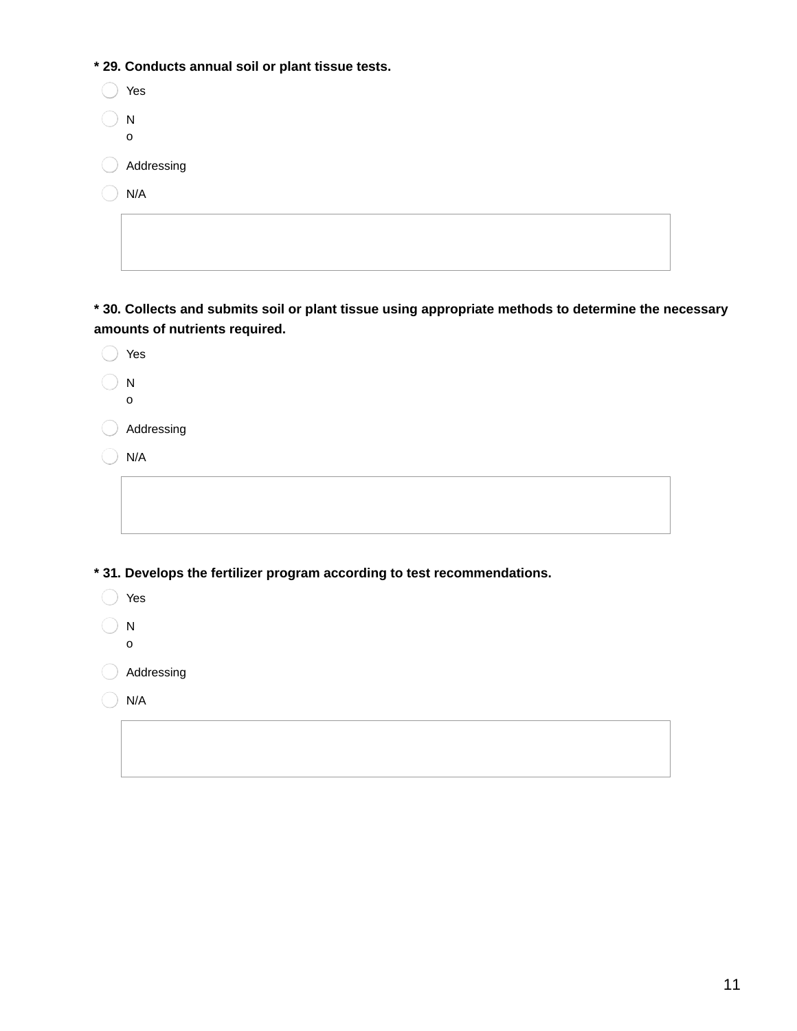**\* 29. Conducts annual soil or plant tissue tests.**

|                  | Yes        |
|------------------|------------|
| N<br>$\mathbf 0$ |            |
| ( )              | Addressing |
|                  | N/A        |
|                  |            |

**\* 30. Collects and submits soil or plant tissue using appropriate methods to determine the necessary amounts of nutrients required.**

| Yes                                                                     |
|-------------------------------------------------------------------------|
| N                                                                       |
| O                                                                       |
| Addressing                                                              |
| N/A                                                                     |
|                                                                         |
|                                                                         |
|                                                                         |
|                                                                         |
| *31. Develops the fertilizer program according to test recommendations. |

Yes

 $\bigcirc$  N o

Addressing

 $\bigcirc$  N/A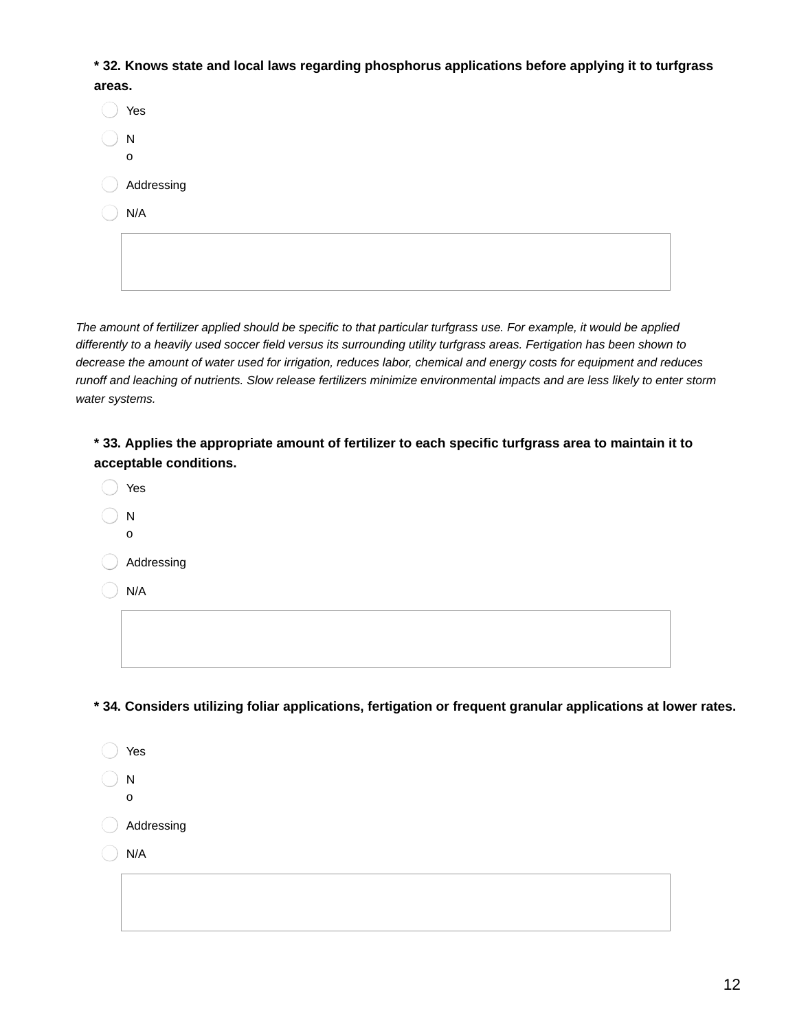**\* 32. Knows state and local laws regarding phosphorus applications before applying it to turfgrass**

| areas.      |  |
|-------------|--|
| Yes         |  |
| ${\sf N}$   |  |
| $\mathsf O$ |  |
| Addressing  |  |
| N/A         |  |
|             |  |
|             |  |

The amount of fertilizer applied should be specific to that particular turfgrass use. For example, it would be applied differently to a heavily used soccer field versus its surrounding utility turfgrass areas. Fertigation has been shown to decrease the amount of water used for irrigation, reduces labor, chemical and energy costs for equipment and reduces runoff and leaching of nutrients. Slow release fertilizers minimize environmental impacts and are less likely to enter storm *water systems.*

**\* 33. Applies the appropriate amount of fertilizer to each specific turfgrass area to maintain it to acceptable conditions.**

| Yes          |
|--------------|
| N            |
| $\mathsf{o}$ |
| Addressing   |
| N/A          |
|              |
|              |

**\* 34. Considers utilizing foliar applications, fertigation or frequent granular applications at lower rates.**

Yes N o Addressing  $)$  N/A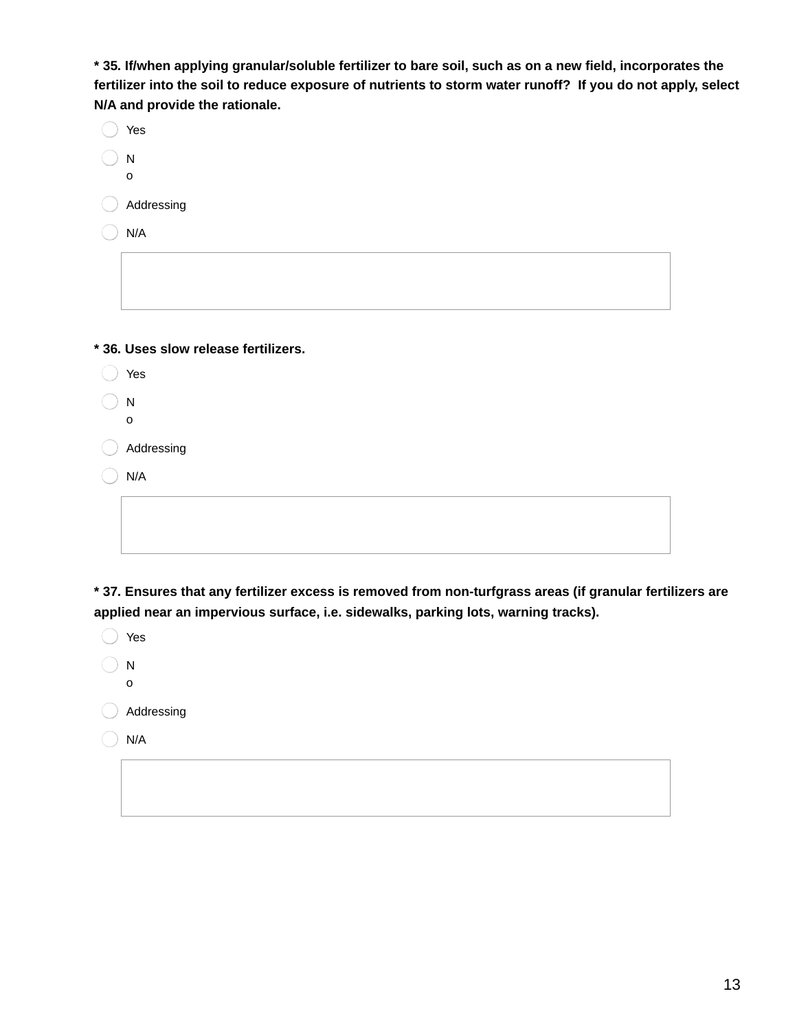**\* 35. If/when applying granular/soluble fertilizer to bare soil, such as on a new field, incorporates the** fertilizer into the soil to reduce exposure of nutrients to storm water runoff? If you do not apply, select **N/A and provide the rationale.**

| Yes                                  |
|--------------------------------------|
| ${\sf N}$                            |
| $\mathsf{o}$                         |
| Addressing                           |
| N/A                                  |
|                                      |
|                                      |
|                                      |
|                                      |
| * 36. Uses slow release fertilizers. |
| Yes                                  |
| ${\sf N}$                            |
| $\mathbf 0$                          |
| Addressing                           |
| N/A                                  |
|                                      |

**\* 37. Ensures that any fertilizer excess is removed from non-turfgrass areas (if granular fertilizers are applied near an impervious surface, i.e. sidewalks, parking lots, warning tracks).**

| Yes        |
|------------|
| N<br>o     |
| Addressing |
| N/A        |
|            |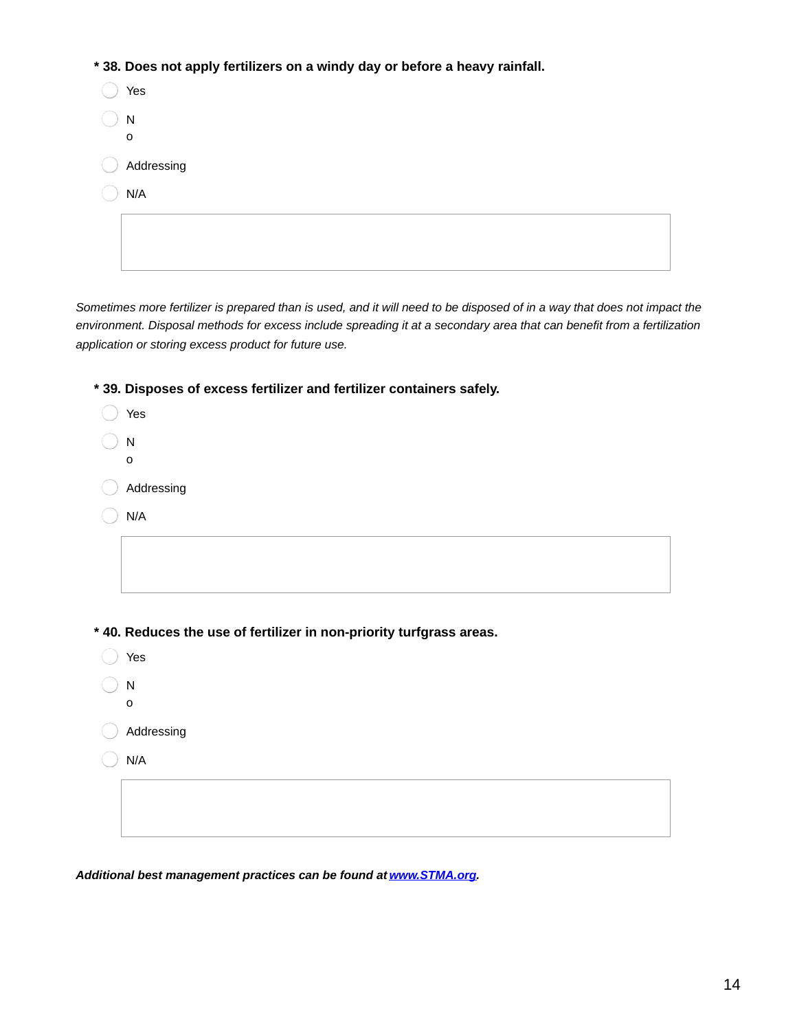**\* 38. Does not apply fertilizers on a windy day or before a heavy rainfall.**

| Yes        |
|------------|
| N<br>0     |
| Addressing |
| N/A        |
|            |
|            |

Sometimes more fertilizer is prepared than is used, and it will need to be disposed of in a way that does not impact the environment. Disposal methods for excess include spreading it at a secondary area that can benefit from a fertilization *application or storing excess product for future use.*

**\* 39. Disposes of excess fertilizer and fertilizer containers safely.**

| Yes                                                                  |
|----------------------------------------------------------------------|
| ${\sf N}$                                                            |
| $\mathbf 0$                                                          |
| Addressing                                                           |
| N/A                                                                  |
|                                                                      |
|                                                                      |
|                                                                      |
|                                                                      |
|                                                                      |
| * 40. Reduces the use of fertilizer in non-priority turfgrass areas. |
| Yes                                                                  |
| ${\sf N}$<br>$\mathbf{o}$                                            |
| Addressing                                                           |
| N/A                                                                  |
|                                                                      |
|                                                                      |

*Additional best management practices can be found at [www.STMA.org](http://www.stma.org).*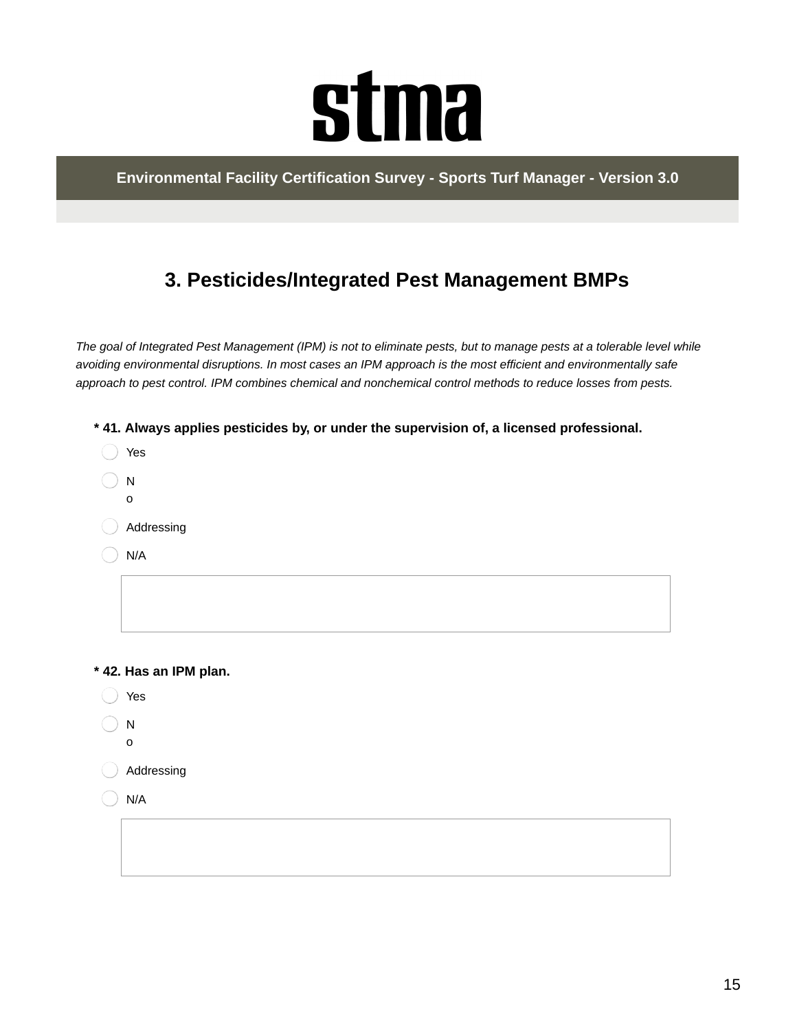# **stma**

**Environmental Facility Certification Survey - Sports Turf Manager - Version 3.0**

## **3. Pesticides/Integrated Pest Management BMPs**

The goal of Integrated Pest Management (IPM) is not to eliminate pests, but to manage pests at a tolerable level while *avoiding environmental disruptions. In most cases an IPM approach is the most efficient and environmentally safe approach to pest control. IPM combines chemical and nonchemical control methods to reduce losses from pests.*

- **\* 41. Always applies pesticides by, or under the supervision of, a licensed professional.**
- ◯ Yes  $\binom{1}{1}$ o Addressing N/A

**\* 42. Has an IPM plan.**

- Yes
- N
- o
- Addressing
- N/A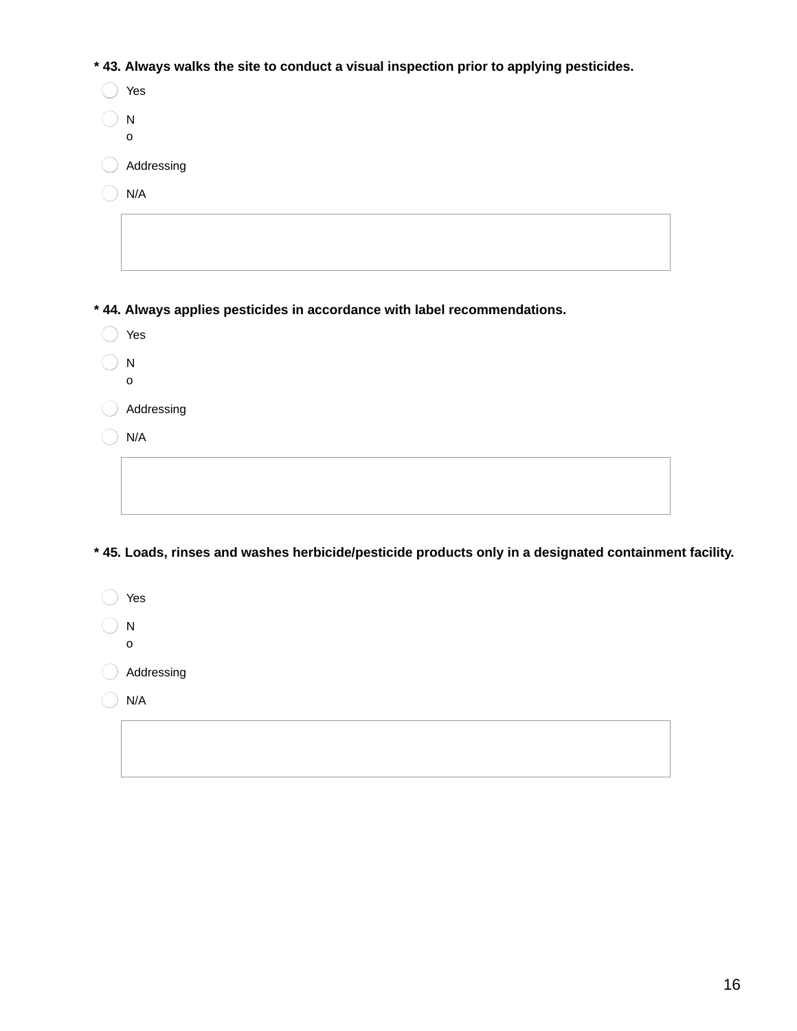**\* 43. Always walks the site to conduct a visual inspection prior to applying pesticides.**

| Yes                                                                       |
|---------------------------------------------------------------------------|
| N                                                                         |
| o                                                                         |
| Addressing                                                                |
| N/A                                                                       |
|                                                                           |
|                                                                           |
|                                                                           |
|                                                                           |
| * 44. Always applies pesticides in accordance with label recommendations. |
| Yes                                                                       |

- $\bigcirc$  N
- o

Addressing

 $\bigcirc$  N/A

**\* 45. Loads, rinses and washes herbicide/pesticide products only in a designated containment facility.**

◯ Yes  $\bigcirc$  N o Addressing  $\bigcirc$  N/A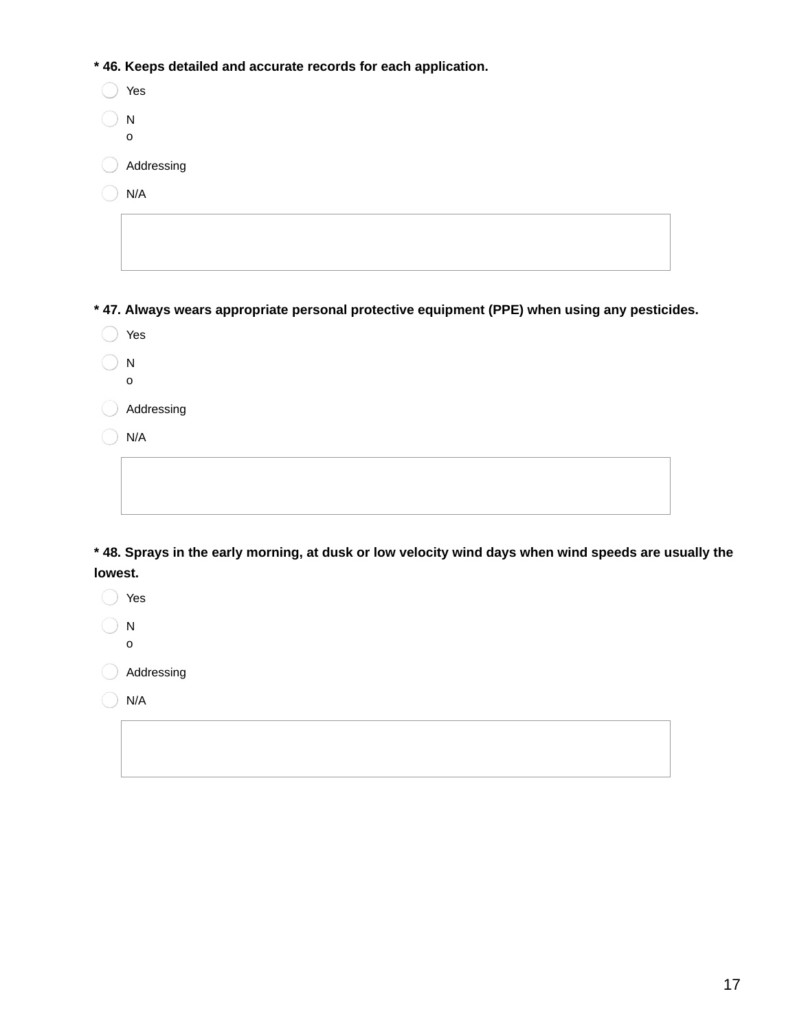**\* 46. Keeps detailed and accurate records for each application.**

| Yes               |
|-------------------|
| N<br>$\mathsf{o}$ |
| Addressing        |
| N/A               |
|                   |
|                   |

**\* 47. Always wears appropriate personal protective equipment (PPE) when using any pesticides.**

- ◯ Yes
- $\bigcirc$  N
- o Addressing

 $\bigcirc$  N/A

\* 48. Sprays in the early morning, at dusk or low velocity wind days when wind speeds are usually the **lowest.**

◯ Yes  $\bigcirc$  N

o

Addressing

 $\bigcirc$  N/A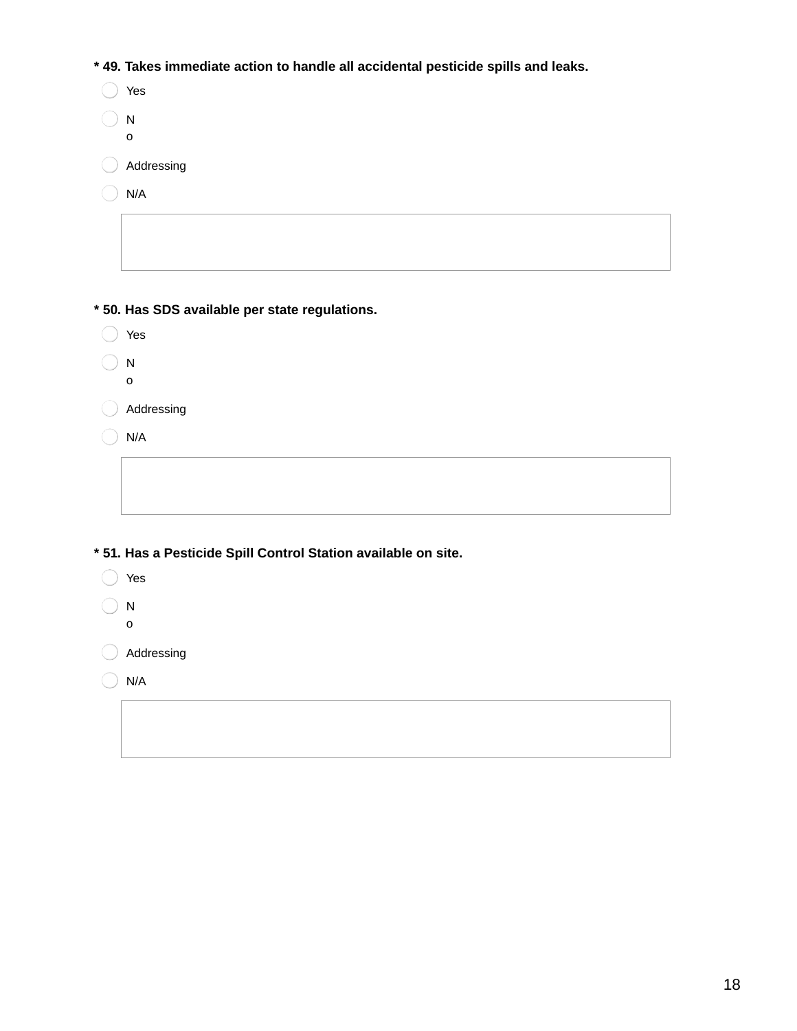**\* 49. Takes immediate action to handle all accidental pesticide spills and leaks.**

| Yes           |
|---------------|
| N<br>$\Omega$ |
| Addressing    |
| N/A           |
|               |

**\* 50. Has SDS available per state regulations.**

| Yes |
|-----|
|     |
| ۰,  |

 $\bigcirc$  N

o

Addressing

 $\bigcirc$  N/A

**\* 51. Has a Pesticide Spill Control Station available on site.**

- Yes
- N

o

Addressing

 $\bigcirc$  N/A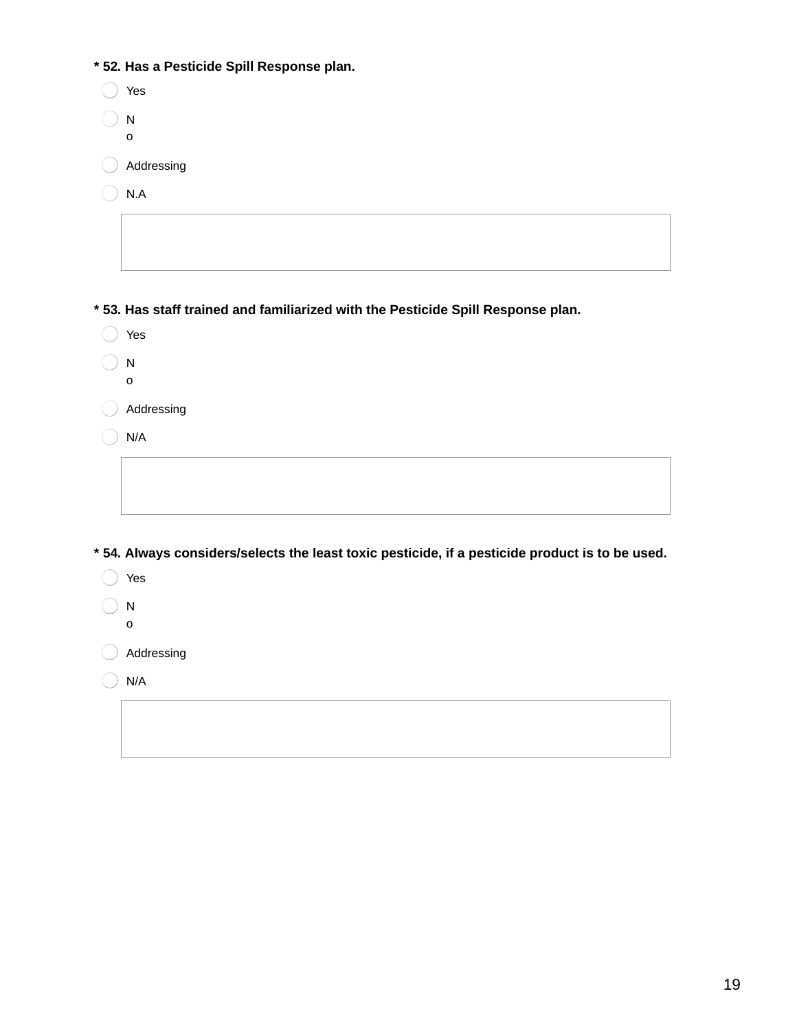|  |  |  |  |  |  | * 52. Has a Pesticide Spill Response plan. |  |
|--|--|--|--|--|--|--------------------------------------------|--|
|--|--|--|--|--|--|--------------------------------------------|--|

| * 52. Has a Pesticide Spill Response plan.                                                     |
|------------------------------------------------------------------------------------------------|
| Yes                                                                                            |
| $\mathsf{N}$                                                                                   |
| o                                                                                              |
| Addressing                                                                                     |
| $\mathsf{N}.\mathsf{A}$                                                                        |
|                                                                                                |
|                                                                                                |
|                                                                                                |
| * 53. Has staff trained and familiarized with the Pesticide Spill Response plan.               |
| Yes                                                                                            |
| $\mathsf{N}$                                                                                   |
| o                                                                                              |
| Addressing                                                                                     |
| N/A                                                                                            |
|                                                                                                |
|                                                                                                |
|                                                                                                |
| *54. Always considers/selects the least toxic pesticide, if a pesticide product is to be used. |
|                                                                                                |
| Yes                                                                                            |
| $\mathsf{N}$                                                                                   |
| o                                                                                              |
| Addressing                                                                                     |
| N/A                                                                                            |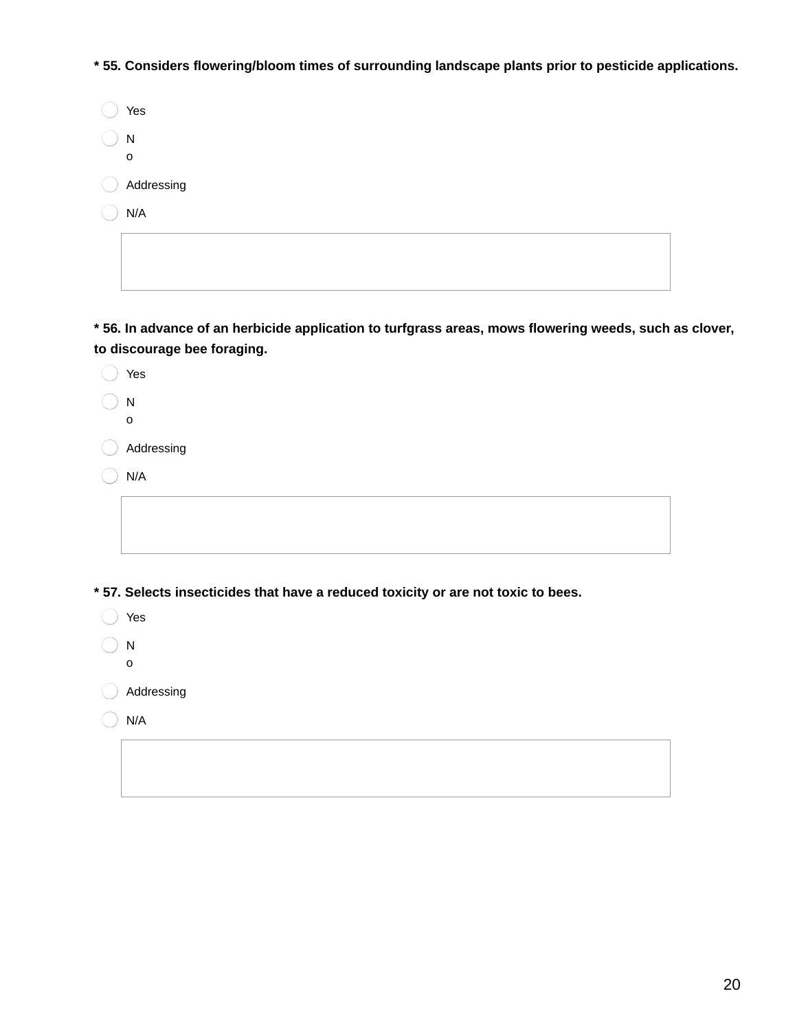**\* 55. Considers flowering/bloom times of surrounding landscape plants prior to pesticide applications.**

| Yes                       |
|---------------------------|
| ${\sf N}$<br>$\mathsf{o}$ |
| Addressing                |
| N/A                       |
|                           |

**\* 56. In advance of an herbicide application to turfgrass areas, mows flowering weeds, such as clover, to discourage bee foraging.**

| Yes                                                                              |
|----------------------------------------------------------------------------------|
| N<br>o                                                                           |
| Addressing                                                                       |
| N/A                                                                              |
|                                                                                  |
|                                                                                  |
| *57. Selects insecticides that have a reduced toxicity or are not toxic to bees. |
| Yes                                                                              |
| ${\sf N}$                                                                        |
| o                                                                                |

Addressing

 $\big)$  N/A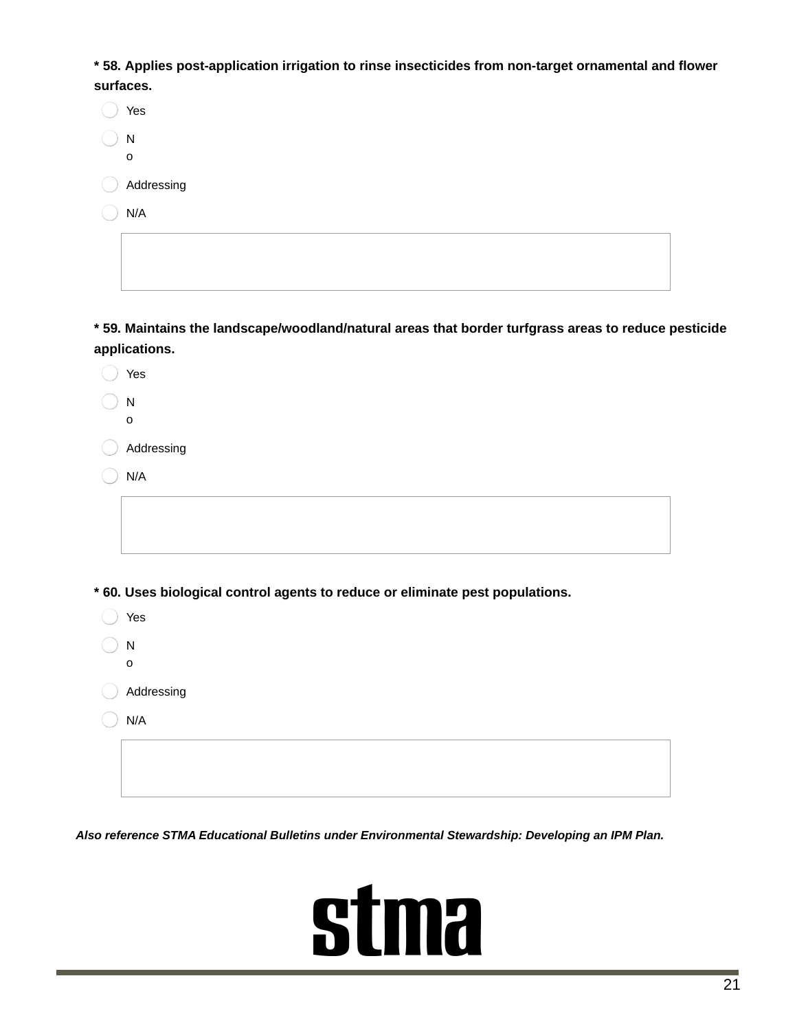**\* 58. Applies post-application irrigation to rinse insecticides from non-target ornamental and flower surfaces.**

| Yes        |
|------------|
| N<br>O     |
| Addressing |
| N/A        |
|            |

 $\overline{\phantom{a}}$ 

**\* 59. Maintains the landscape/woodland/natural areas that border turfgrass areas to reduce pesticide applications.**

| Yes                                                                           |
|-------------------------------------------------------------------------------|
| ${\sf N}$<br>$\mathbf O$                                                      |
| Addressing                                                                    |
| N/A                                                                           |
|                                                                               |
|                                                                               |
|                                                                               |
|                                                                               |
| * 60. Uses biological control agents to reduce or eliminate pest populations. |
| Yes                                                                           |
| ${\sf N}$                                                                     |
| $\mathsf{o}$                                                                  |
| Addressing                                                                    |
| N/A                                                                           |
|                                                                               |
|                                                                               |

*Also reference STMA Educational Bulletins under Environmental Stewardship: Developing an IPM Plan.*

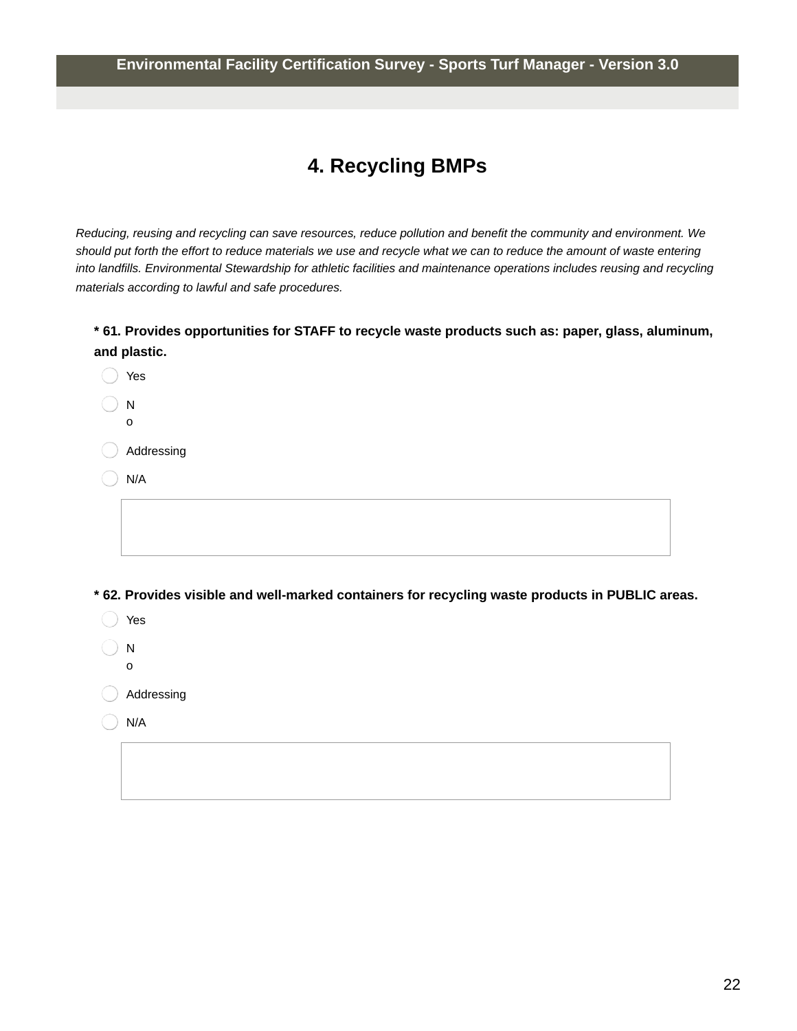#### **Environmental Facility Certification Survey - Sports Turf Manager - Version 3.0**

### **4. Recycling BMPs**

Reducing, reusing and recycling can save resources, reduce pollution and benefit the community and environment. We should put forth the effort to reduce materials we use and recycle what we can to reduce the amount of waste entering *into landfills. Environmental Stewardship for athletic facilities and maintenance operations includes reusing and recycling materials according to lawful and safe procedures.*

#### **\* 61. Provides opportunities for STAFF to recycle waste products such as: paper, glass, aluminum, and plastic.**

| Yes          |
|--------------|
| N            |
| $\mathsf{o}$ |
| Addressing   |
| N/A          |
|              |
|              |
|              |

**\* 62. Provides visible and well-marked containers for recycling waste products in PUBLIC areas.**

- Yes  $)$  N
- o
- Addressing
- N/A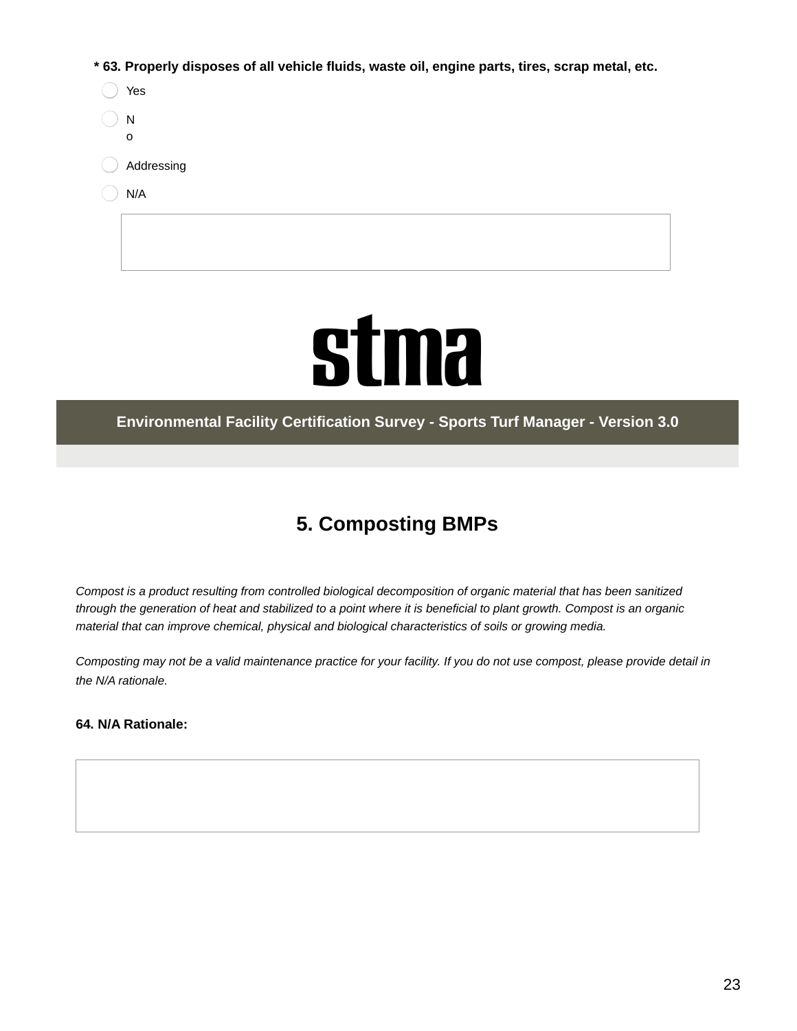**\* 63. Properly disposes of all vehicle fluids, waste oil, engine parts, tires, scrap metal, etc.**

| Yes        |
|------------|
| N<br>ი     |
| Addressing |
| N/A        |
|            |



#### **Environmental Facility Certification Survey - Sports Turf Manager - Version 3.0**

## **5. Composting BMPs**

Compost is a product resulting from controlled biological decomposition of organic material that has been sanitized through the generation of heat and stabilized to a point where it is beneficial to plant growth. Compost is an organic *material that can improve chemical, physical and biological characteristics of soils or growing media.*

Composting may not be a valid maintenance practice for your facility. If you do not use compost, please provide detail in *the N/A rationale.*

**64. N/A Rationale:**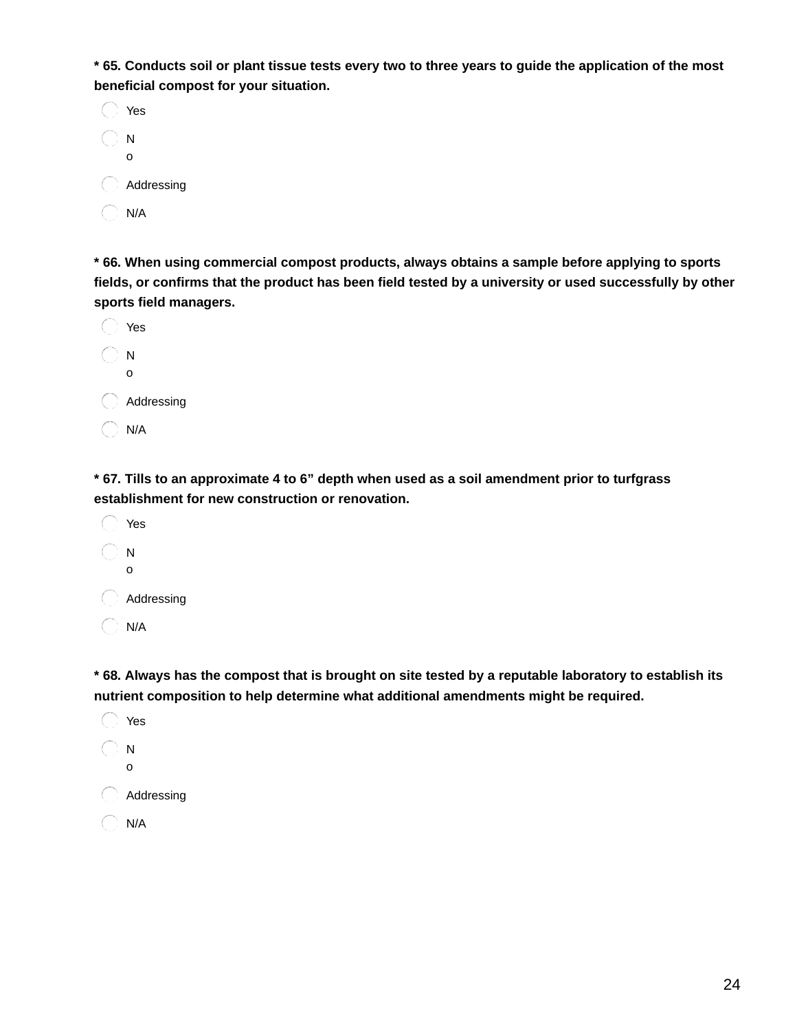\* 65. Conducts soil or plant tissue tests every two to three years to guide the application of the most **beneficial compost for your situation.**

| Yes        |
|------------|
| N<br>ი     |
| Addressing |
| N/A        |

**\* 66. When using commercial compost products, always obtains a sample before applying to sports** fields, or confirms that the product has been field tested by a university or used successfully by other **sports field managers.**

| Yes        |
|------------|
| N<br>ი     |
| Addressing |
| N/A        |

\* 67. Tills to an approximate 4 to 6" depth when used as a soil amendment prior to turfgrass **establishment for new construction or renovation.**

Yes N o C Addressing  $\bigcirc$  N/A

\* 68. Always has the compost that is brought on site tested by a reputable laboratory to establish its **nutrient composition to help determine what additional amendments might be required.**

◯ Yes  $\bigcirc$  N o **Addressing**  $\bigcirc$  N/A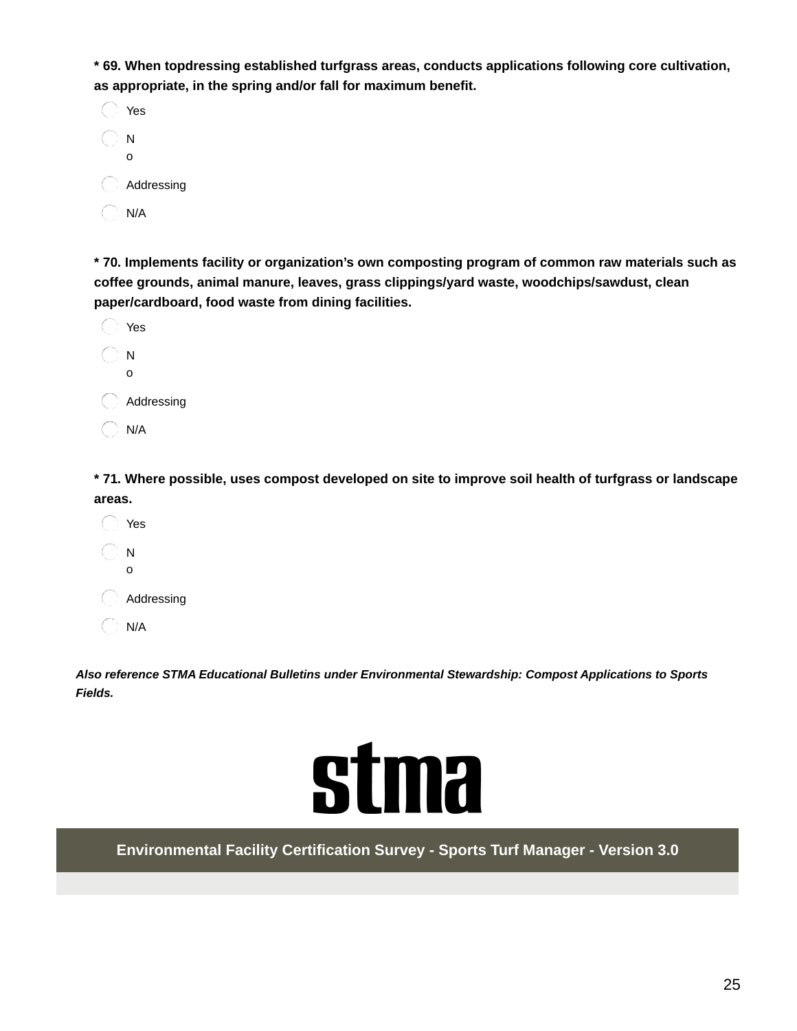**\* 69. When topdressing established turfgrass areas, conducts applications following core cultivation, as appropriate, in the spring and/or fall for maximum benefit.**

| Yes        |
|------------|
| N<br>ი     |
| Addressing |
| N/A        |

**\* 70. Implements facility or organization's own composting program of common raw materials such as coffee grounds, animal manure, leaves, grass clippings/yard waste, woodchips/sawdust, clean paper/cardboard, food waste from dining facilities.**

| Yes        |
|------------|
| N<br>ი     |
| Addressing |
| N/A        |

**\* 71. Where possible, uses compost developed on site to improve soil health of turfgrass or landscape areas.**

Yes N o Addressing  $\bigcirc$  N/A

*Also reference STMA Educational Bulletins under Environmental Stewardship: Compost Applications to Sports Fields.*



**Environmental Facility Certification Survey - Sports Turf Manager - Version 3.0**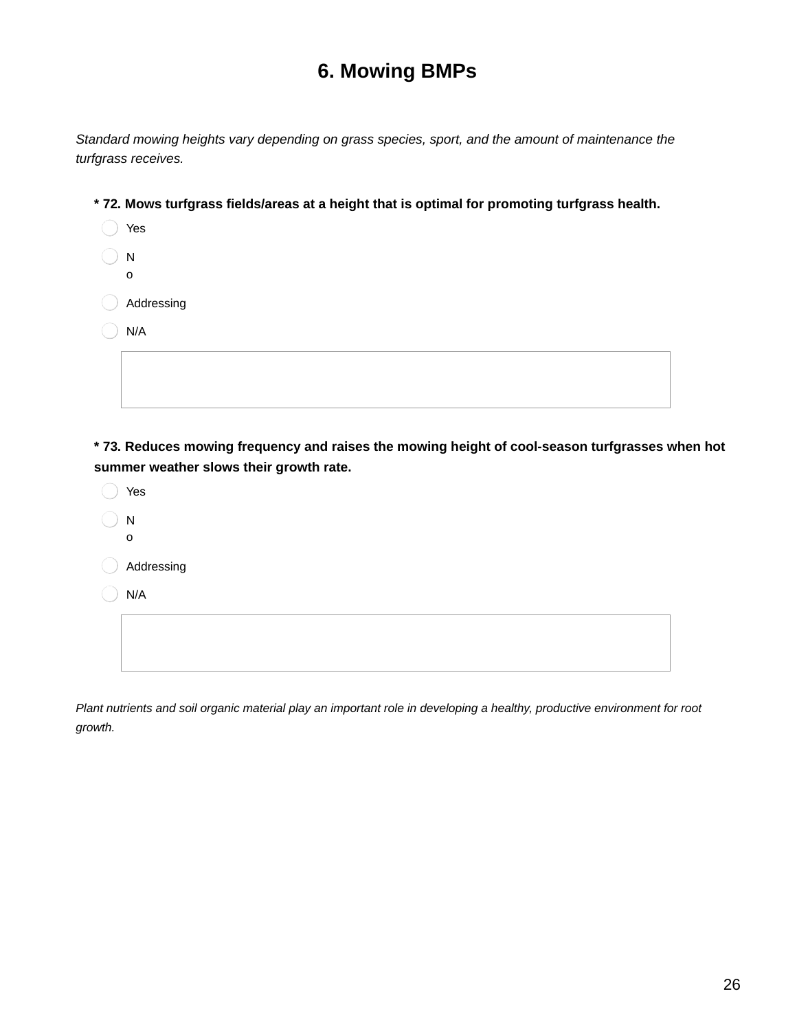### **6. Mowing BMPs**

*Standard mowing heights vary depending on grass species, sport, and the amount of maintenance the turfgrass receives.*

- **\* 72. Mows turfgrass fields/areas at a height that is optimal for promoting turfgrass health.**
	- Yes N o
	- Addressing
	- $)$  N/A

**\* 73. Reduces mowing frequency and raises the mowing height of cool-season turfgrasses when hot summer weather slows their growth rate.**

Yes N o Addressing N/A

Plant nutrients and soil organic material play an important role in developing a healthy, productive environment for root *growth.*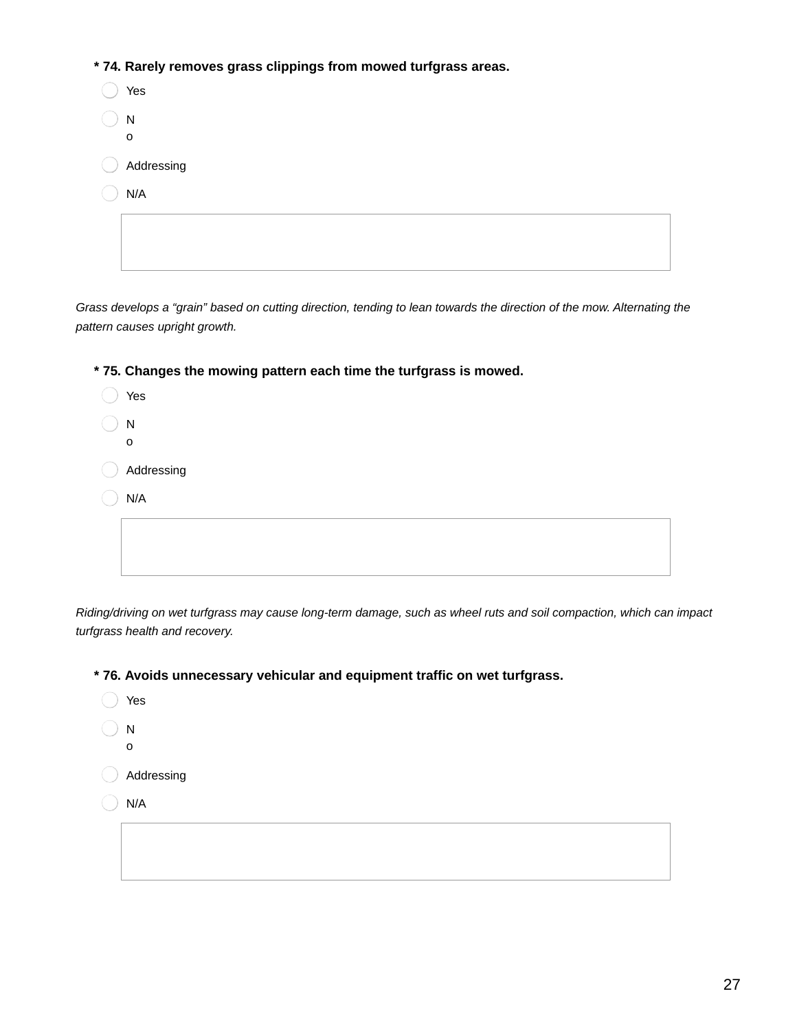**\* 74. Rarely removes grass clippings from mowed turfgrass areas.**

| Yes              |  |  |
|------------------|--|--|
| Ν<br>$\mathbf 0$ |  |  |
| Addressing       |  |  |
| N/A              |  |  |
|                  |  |  |

Grass develops a "grain" based on cutting direction, tending to lean towards the direction of the mow. Alternating the *pattern causes upright growth.*

**\* 75. Changes the mowing pattern each time the turfgrass is mowed.**

| Yes          |
|--------------|
| N            |
| $\mathsf{o}$ |
| Addressing   |
| N/A          |
|              |
|              |
|              |

Riding/driving on wet turfgrass may cause long-term damage, such as wheel ruts and soil compaction, which can impact *turfgrass health and recovery.*

**\* 76. Avoids unnecessary vehicular and equipment traffic on wet turfgrass.**

◯ Yes

o

- N
- Addressing
- N/A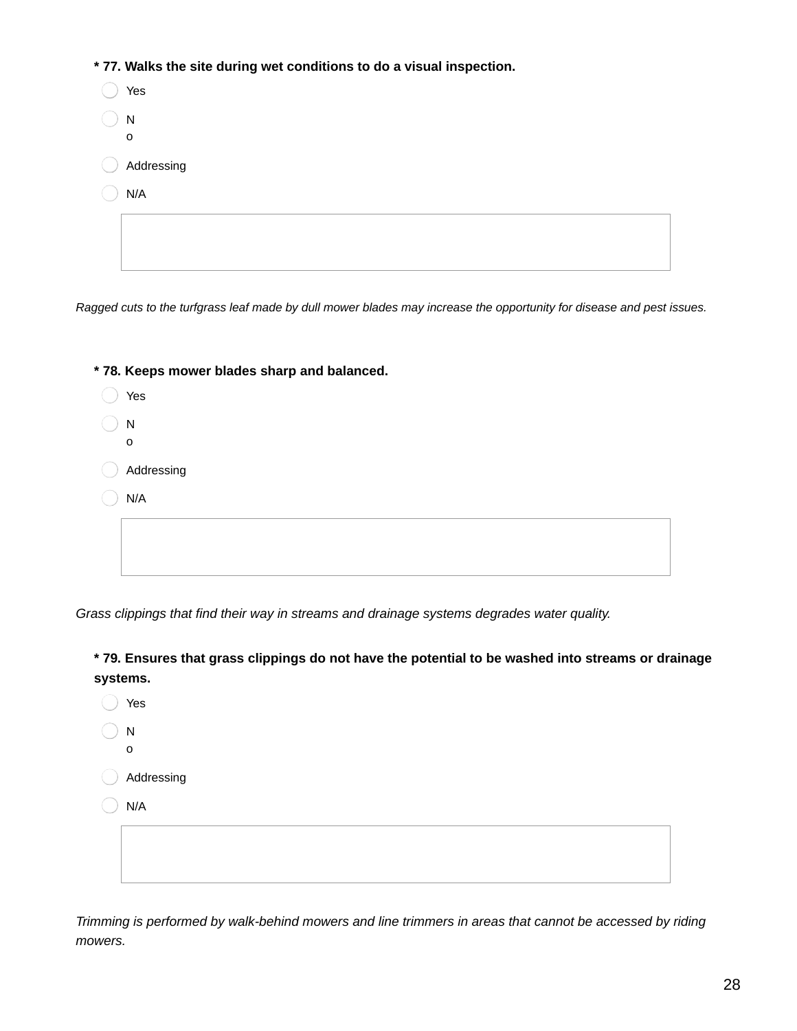**\* 77. Walks the site during wet conditions to do a visual inspection.**

| Yes                          |
|------------------------------|
| $\mathsf{N}$<br>$\mathsf{o}$ |
| Addressing                   |
| N/A                          |
|                              |
|                              |

Ragged cuts to the turfgrass leaf made by dull mower blades may increase the opportunity for disease and pest issues.

| * 78. Keeps mower blades sharp and balanced. |
|----------------------------------------------|
| Yes                                          |
| N                                            |
| 0                                            |
| Addressing                                   |
| N/A                                          |
|                                              |
|                                              |
|                                              |

*Grass clippings that find their way in streams and drainage systems degrades water quality.*

**\* 79. Ensures that grass clippings do not have the potential to be washed into streams or drainage systems.**

Yes N o Addressing

 $\big)$  N/A

*Trimming is performed by walk-behind mowers and line trimmers in areas that cannot be accessed by riding mowers.*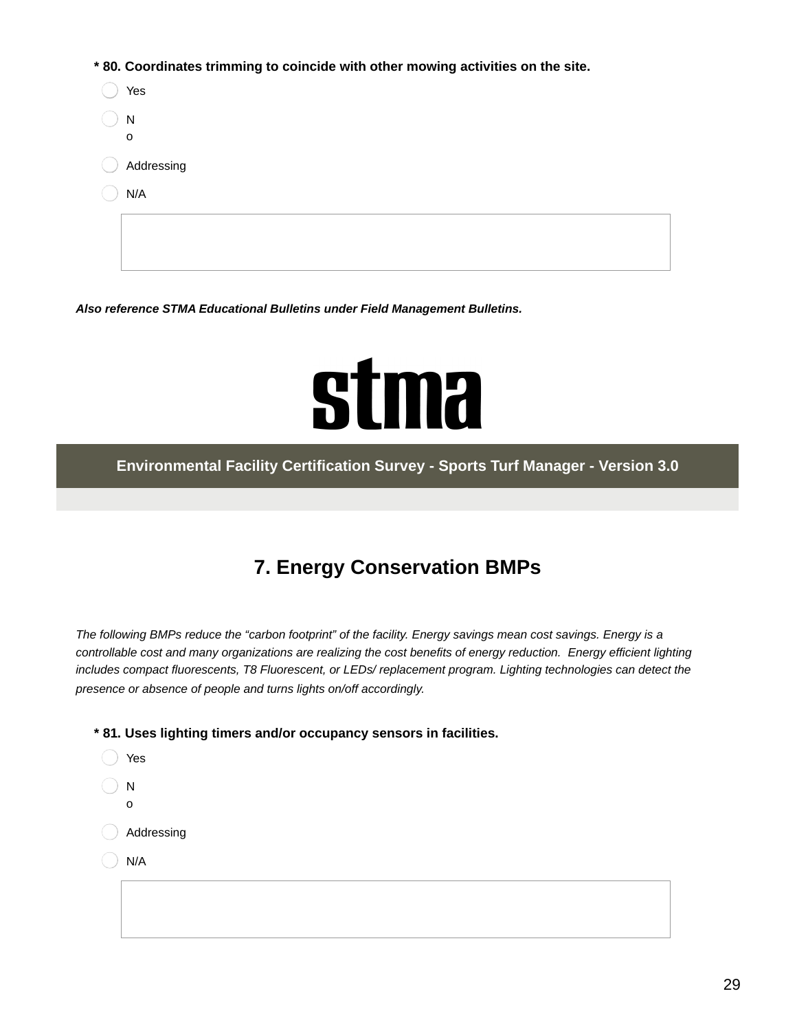**\* 80. Coordinates trimming to coincide with other mowing activities on the site.**

| Yes         |
|-------------|
| ${\sf N}$   |
| $\mathbf 0$ |
| Addressing  |
| N/A         |
|             |
|             |
|             |

*Also reference STMA Educational Bulletins under Field Management Bulletins.*

## **stma**

**Environmental Facility Certification Survey - Sports Turf Manager - Version 3.0**

## **7. Energy Conservation BMPs**

The following BMPs reduce the "carbon footprint" of the facility. Energy savings mean cost savings. Energy is a controllable cost and many organizations are realizing the cost benefits of energy reduction. Energy efficient lighting *includes compact fluorescents, T8 Fluorescent, or LEDs/ replacement program. Lighting technologies can detect the presence or absence of people and turns lights on/off accordingly.*

**\* 81. Uses lighting timers and/or occupancy sensors in facilities.**

Yes N o Addressing N/A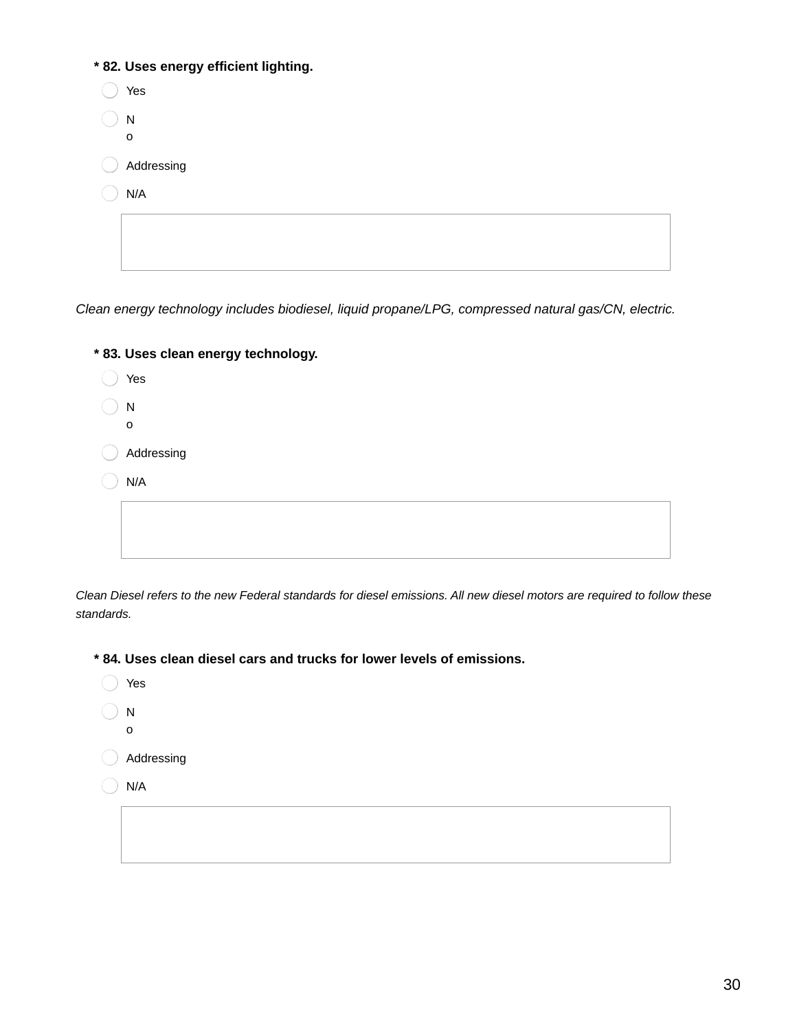| * 82. Uses energy efficient lighting. |
|---------------------------------------|
| Yes                                   |
| N                                     |
| 0                                     |
| Addressing                            |
| N/A                                   |
|                                       |
|                                       |
|                                       |

*Clean energy technology includes biodiesel, liquid propane/LPG, compressed natural gas/CN, electric.*

| * 83. Uses clean energy technology. |
|-------------------------------------|
| Yes                                 |
| N<br>0                              |
| Addressing                          |
| N/A                                 |
|                                     |

Clean Diesel refers to the new Federal standards for diesel emissions. All new diesel motors are required to follow these *standards.*

**\* 84. Uses clean diesel cars and trucks for lower levels of emissions.**

- Yes N
- o
- Addressing
- $\bigcirc$  N/A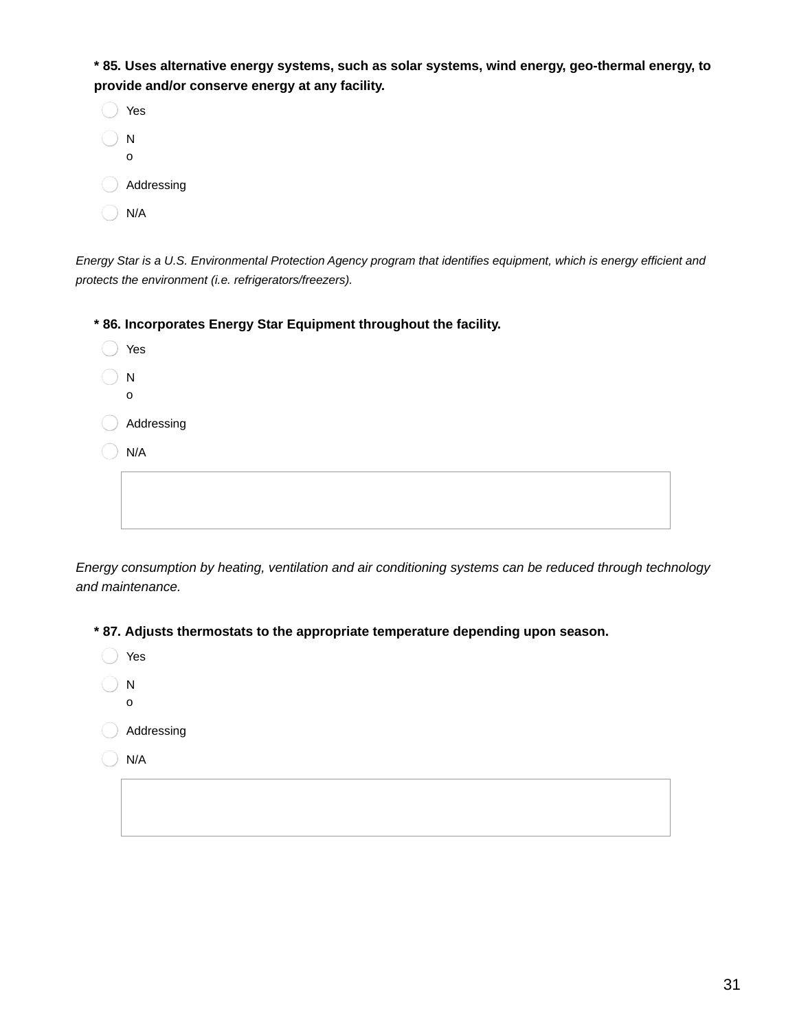**\* 85. Uses alternative energy systems, such as solar systems, wind energy, geo-thermal energy, to provide and/or conserve energy at any facility.**

| Yes        |
|------------|
| N<br>ი     |
| Addressing |
| N/A        |

Energy Star is a U.S. Environmental Protection Agency program that identifies equipment, which is energy efficient and *protects the environment (i.e. refrigerators/freezers).*

**\* 86. Incorporates Energy Star Equipment throughout the facility.**

| Yes                       |
|---------------------------|
| ${\sf N}$<br>$\mathsf{o}$ |
| Addressing                |
| N/A                       |
|                           |
|                           |

*Energy consumption by heating, ventilation and air conditioning systems can be reduced through technology and maintenance.*

**\* 87. Adjusts thermostats to the appropriate temperature depending upon season.**

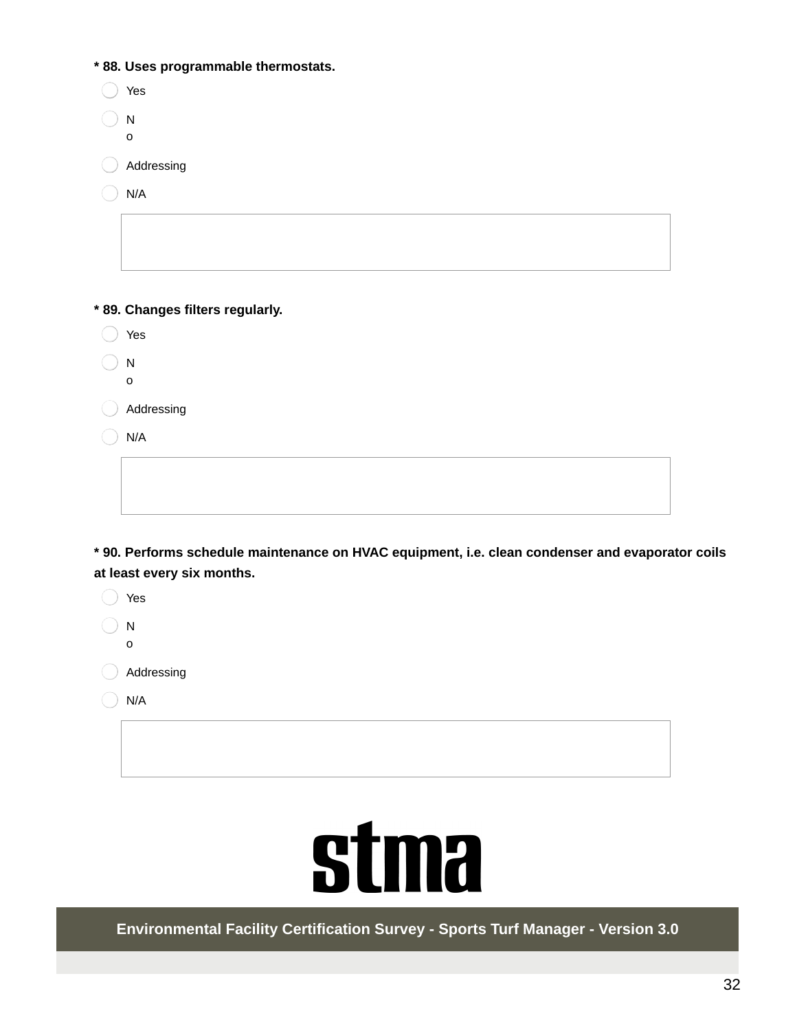**\* 88. Uses programmable thermostats.**

| Yes              |
|------------------|
| N<br>$\mathbf 0$ |
| Addressing       |
| N/A              |
|                  |
|                  |

**\* 89. Changes filters regularly.**

Yes

 $\bigcirc$  N o

Addressing

 $\bigcirc$  N/A

**\* 90. Performs schedule maintenance on HVAC equipment, i.e. clean condenser and evaporator coils at least every six months.**

◯ Yes N o

Addressing

 $\bigcirc$  N/A



**Environmental Facility Certification Survey - Sports Turf Manager - Version 3.0**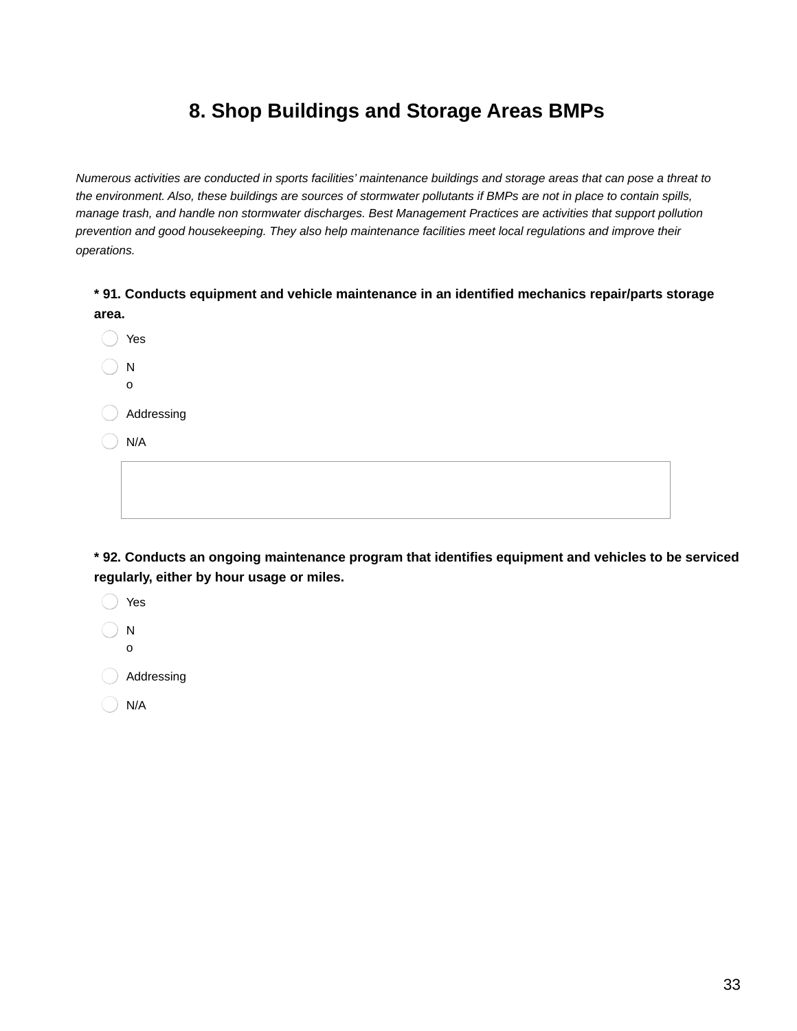## **8. Shop Buildings and Storage Areas BMPs**

Numerous activities are conducted in sports facilities' maintenance buildings and storage areas that can pose a threat to the environment. Also, these buildings are sources of stormwater pollutants if BMPs are not in place to contain spills, *manage trash, and handle non stormwater discharges. Best Management Practices are activities that support pollution prevention and good housekeeping. They also help maintenance facilities meet local regulations and improve their operations.*

**\* 91. Conducts equipment and vehicle maintenance in an identified mechanics repair/parts storage area.**

◯ Yes  $\Box$  N o Addressing N/A

**\* 92. Conducts an ongoing maintenance program that identifies equipment and vehicles to be serviced regularly, either by hour usage or miles.**

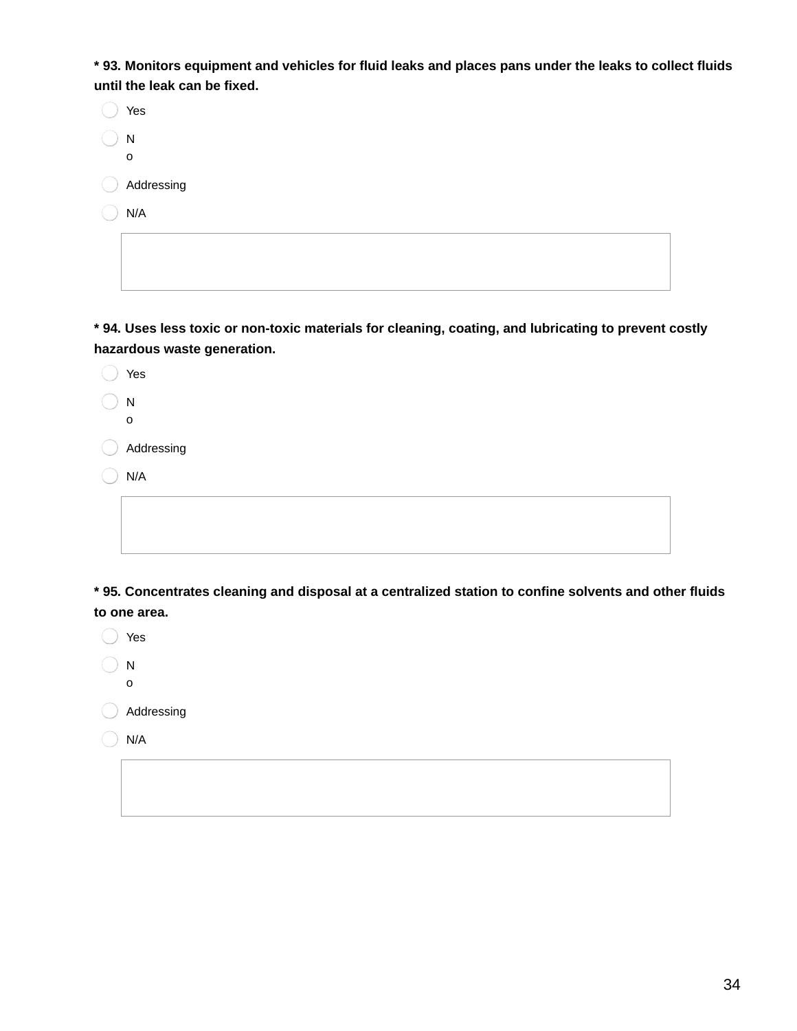\* 93. Monitors equipment and vehicles for fluid leaks and places pans under the leaks to collect fluids **until the leak can be fixed.**

| Yes        |
|------------|
| N          |
| O          |
| Addressing |
| N/A        |
|            |
|            |

**\* 94. Uses less toxic or non-toxic materials for cleaning, coating, and lubricating to prevent costly hazardous waste generation.**

| Yes          |
|--------------|
| $\mathsf{N}$ |
| $\mathsf O$  |
| Addressing   |
| N/A          |
|              |
|              |
|              |

**\* 95. Concentrates cleaning and disposal at a centralized station to confine solvents and other fluids to one area.**

| Yes        |
|------------|
| N<br>o     |
| Addressing |
| N/A        |
|            |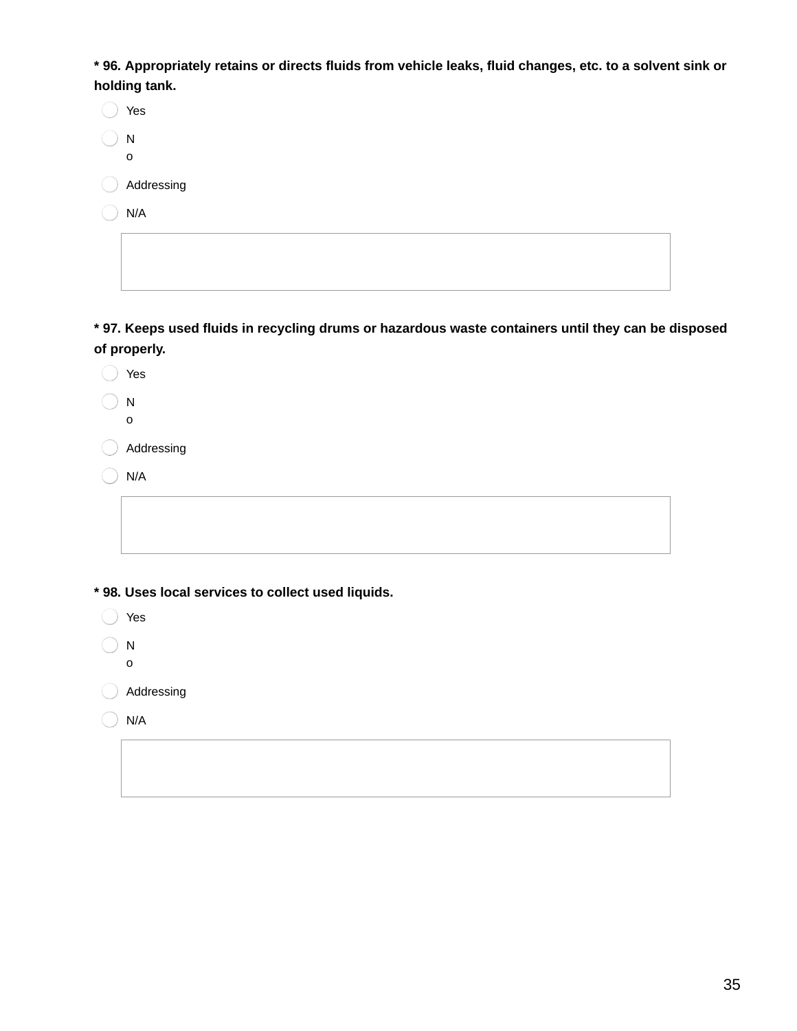\* 96. Appropriately retains or directs fluids from vehicle leaks, fluid changes, etc. to a solvent sink or **holding tank.**

|       | Yes        |
|-------|------------|
|       | N<br>o     |
| $($ ) | Addressing |
|       | N/A        |
|       |            |

 $\widehat{\phantom{m}}$ 

**\* 97. Keeps used fluids in recycling drums or hazardous waste containers until they can be disposed of properly.**

| Yes                                                |
|----------------------------------------------------|
| ${\sf N}$                                          |
| $\mathbf O$                                        |
| Addressing                                         |
| N/A                                                |
|                                                    |
|                                                    |
|                                                    |
| * 98. Uses local services to collect used liquids. |
| Yes                                                |
| ${\sf N}$                                          |
| 0                                                  |
| Addressing                                         |
| N/A                                                |
|                                                    |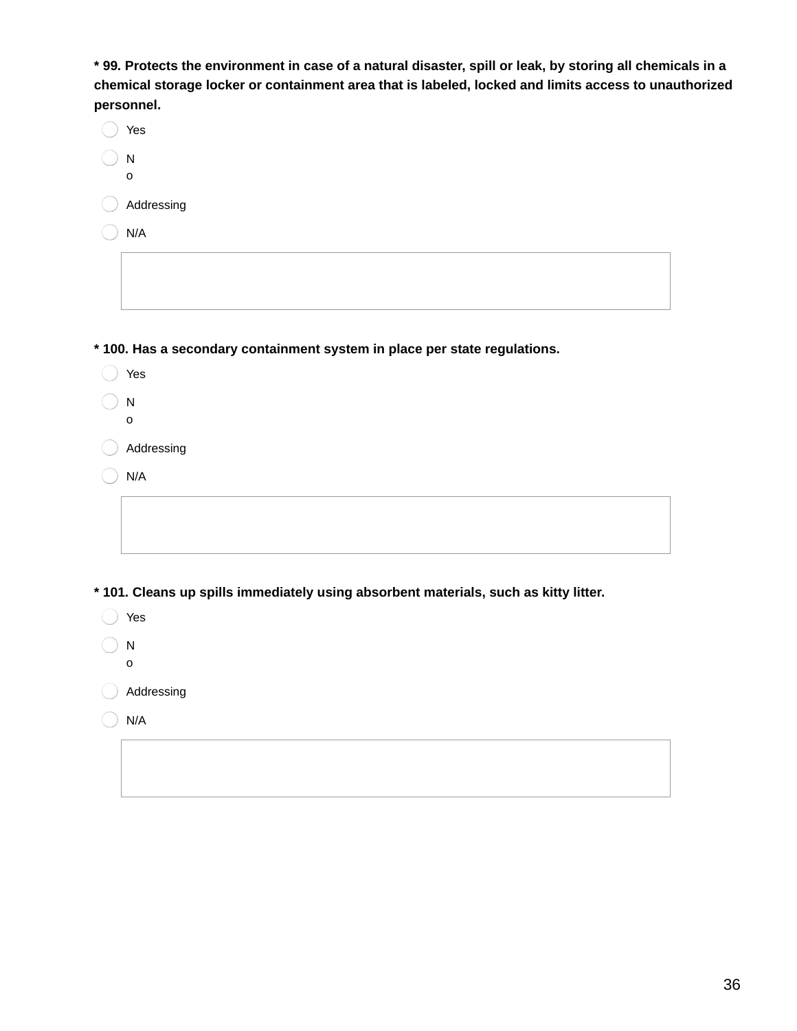\* 99. Protects the environment in case of a natural disaster, spill or leak, by storing all chemicals in a **chemical storage locker or containment area that is labeled, locked and limits access to unauthorized personnel.**

| Yes                          |
|------------------------------|
| $\mathsf{N}$<br>$\mathsf{o}$ |
| Addressing                   |
| N/A                          |
|                              |
|                              |
|                              |

**\* 100. Has a secondary containment system in place per state regulations.**

- ◯ Yes
- N o
- Addressing
- $\big)$  N/A

**\* 101. Cleans up spills immediately using absorbent materials, such as kitty litter.**

| Yes        |
|------------|
| N          |
| o          |
| Addressing |

 $\bigcirc$  N/A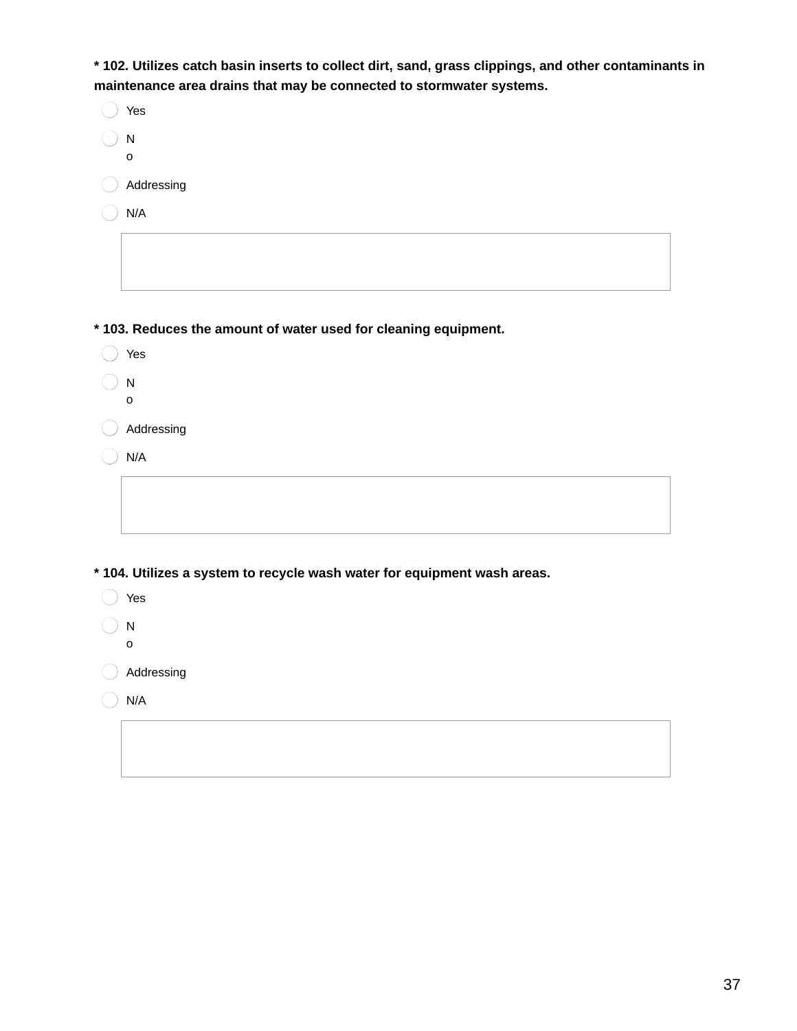**\* 102. Utilizes catch basin inserts to collect dirt, sand, grass clippings, and other contaminants in maintenance area drains that may be connected to stormwater systems.**

| Yes        |
|------------|
| N<br>O     |
| Addressing |
| N/A        |
|            |

**\* 103. Reduces the amount of water used for cleaning equipment.**

- ◯ Yes
- $\bigcirc$  N o
- Addressing
- $\bigcirc$  N/A

**\* 104. Utilizes a system to recycle wash water for equipment wash areas.**

- ◯ Yes
- $\bigcirc$  N o

Addressing

 $\bigcirc$  N/A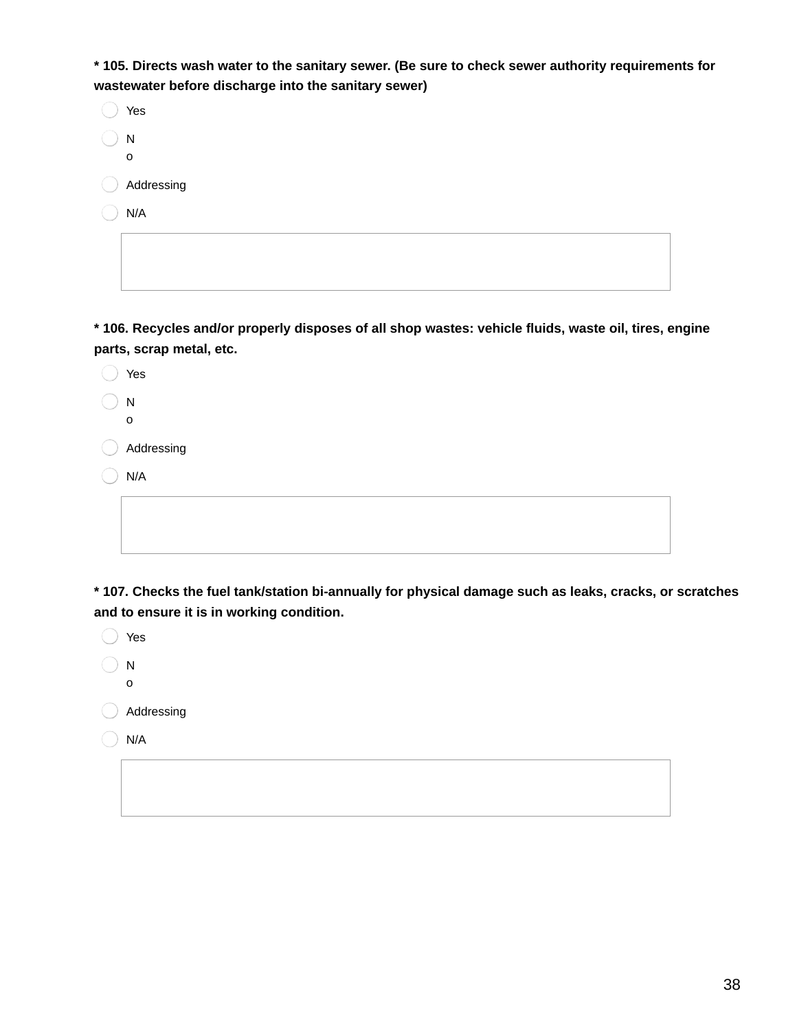**\* 105. Directs wash water to the sanitary sewer. (Be sure to check sewer authority requirements for wastewater before discharge into the sanitary sewer)**

| Yes        |
|------------|
| N<br>o     |
| Addressing |
| N/A        |
|            |

**\* 106. Recycles and/or properly disposes of all shop wastes: vehicle fluids, waste oil, tires, engine parts, scrap metal, etc.**

| Yes                       |
|---------------------------|
| ${\sf N}$<br>$\mathsf{o}$ |
| Addressing                |
| N/A                       |
|                           |
|                           |

**\* 107. Checks the fuel tank/station bi-annually for physical damage such as leaks, cracks, or scratches and to ensure it is in working condition.**

| Yes          |
|--------------|
| $\mathsf{N}$ |
| $\mathsf{o}$ |
| Addressing   |
| N/A          |
|              |
|              |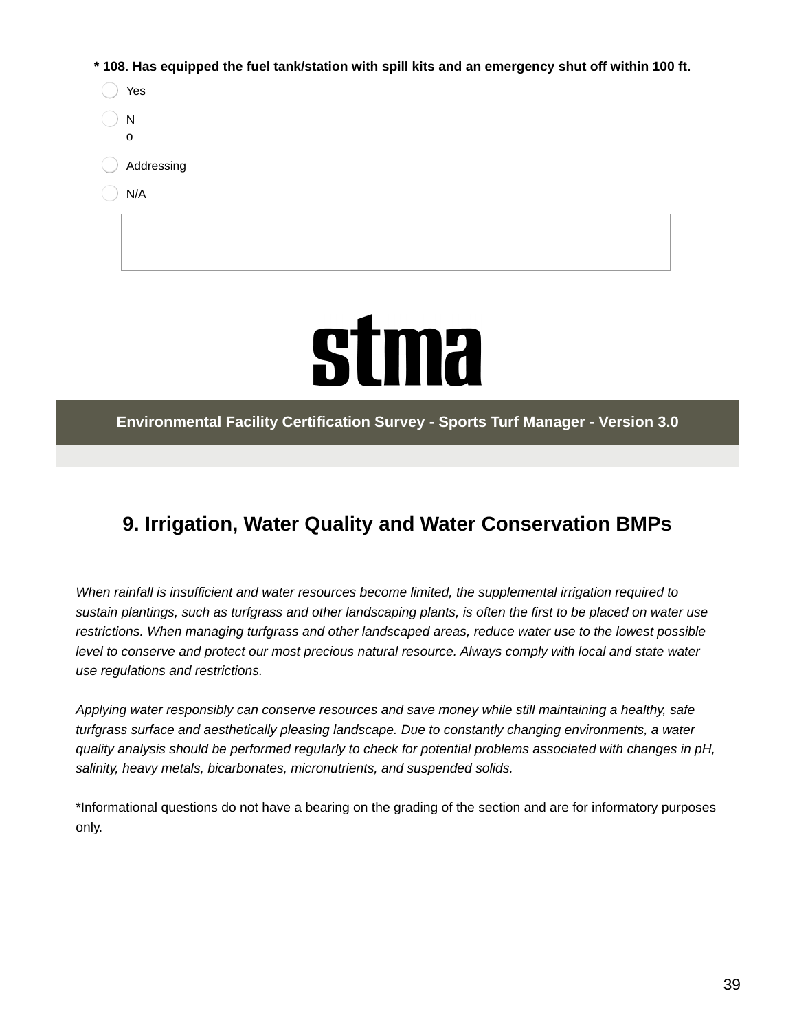**\* 108. Has equipped the fuel tank/station with spill kits and an emergency shut off within 100 ft.**

| Yes        |
|------------|
| N<br>O     |
| Addressing |
| N/A        |
|            |



**Environmental Facility Certification Survey - Sports Turf Manager - Version 3.0**

## **9. Irrigation, Water Quality and Water Conservation BMPs**

*When rainfall is insufficient and water resources become limited, the supplemental irrigation required to* sustain plantings, such as turfgrass and other landscaping plants, is often the first to be placed on water use *restrictions. When managing turfgrass and other landscaped areas, reduce water use to the lowest possible* level to conserve and protect our most precious natural resource. Always comply with local and state water *use regulations and restrictions.*

*Applying water responsibly can conserve resources and save money while still maintaining a healthy, safe turfgrass surface and aesthetically pleasing landscape. Due to constantly changing environments, a water quality analysis should be performed regularly to check for potential problems associated with changes in pH, salinity, heavy metals, bicarbonates, micronutrients, and suspended solids.*

\*Informational questions do not have a bearing on the grading of the section and are for informatory purposes only.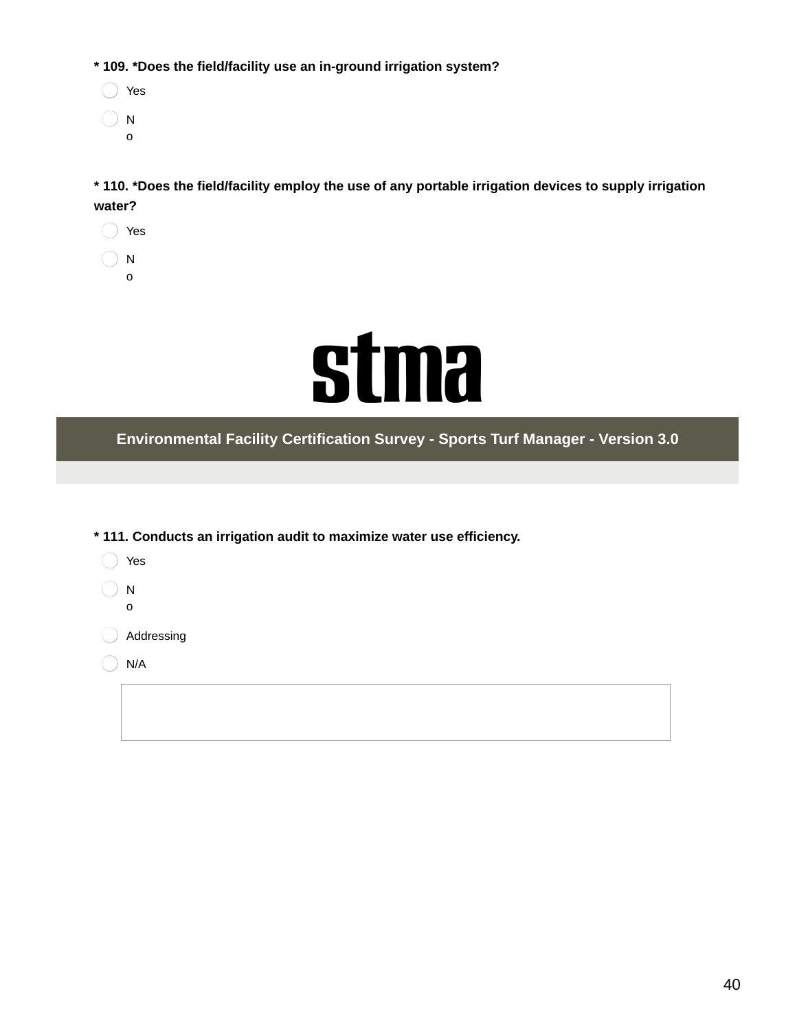**\* 109. \*Does the field/facility use an in-ground irrigation system?**

◯ Yes  $\bigcirc$  N o

**\* 110. \*Does the field/facility employ the use of any portable irrigation devices to supply irrigation water?**

◯ Yes  $\bigcirc$  N

o



**Environmental Facility Certification Survey - Sports Turf Manager - Version 3.0**

| * 111. Conducts an irrigation audit to maximize water use efficiency. |            |
|-----------------------------------------------------------------------|------------|
|                                                                       | Yes        |
|                                                                       | N          |
|                                                                       | 0          |
|                                                                       | Addressing |
|                                                                       | N/A        |
|                                                                       |            |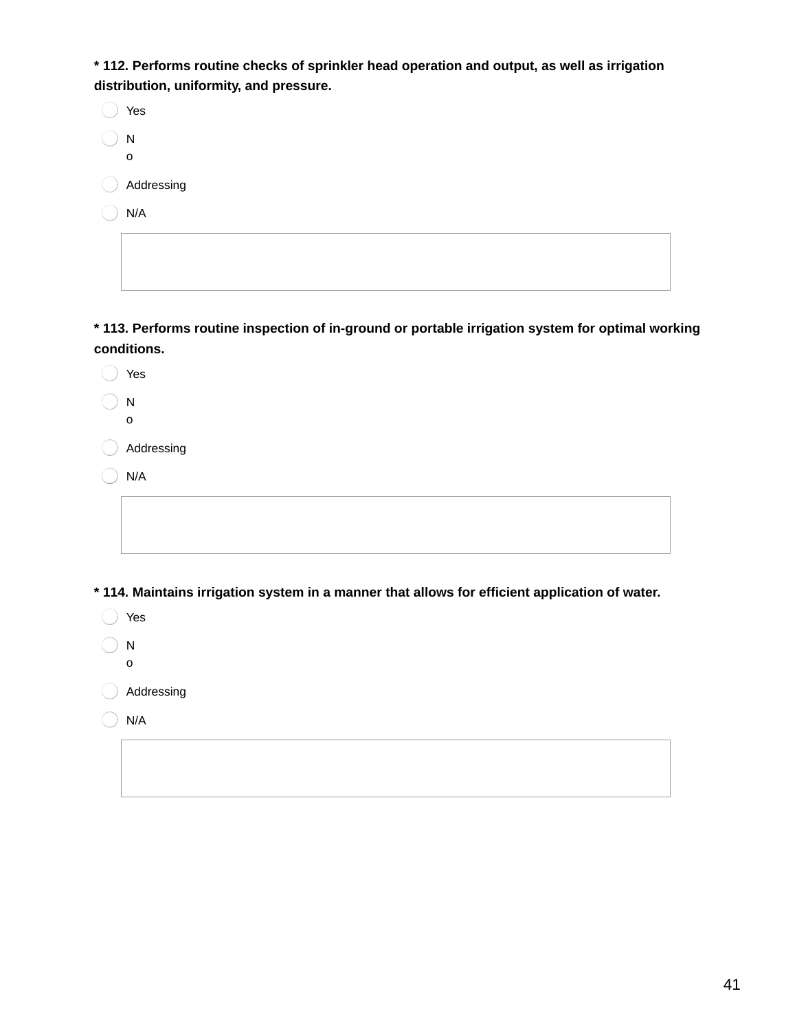**\* 112. Performs routine checks of sprinkler head operation and output, as well as irrigation distribution, uniformity, and pressure.**

|        | Yes        |
|--------|------------|
|        | N<br>O     |
| $(\ )$ | Addressing |
|        | N/A        |
|        |            |

**\* 113. Performs routine inspection of in-ground or portable irrigation system for optimal working conditions.**

| Yes                                                                                     |
|-----------------------------------------------------------------------------------------|
| N<br>O                                                                                  |
| Addressing                                                                              |
| N/A                                                                                     |
|                                                                                         |
|                                                                                         |
|                                                                                         |
| * 114. Maintains irrigation system in a manner that allows for efficient application of |

**\* 114. Maintains irrigation system in a manner that allows for efficient application of water.**

| Yes        |
|------------|
| N          |
| O          |
| Addressing |

 $\bigcirc$  N/A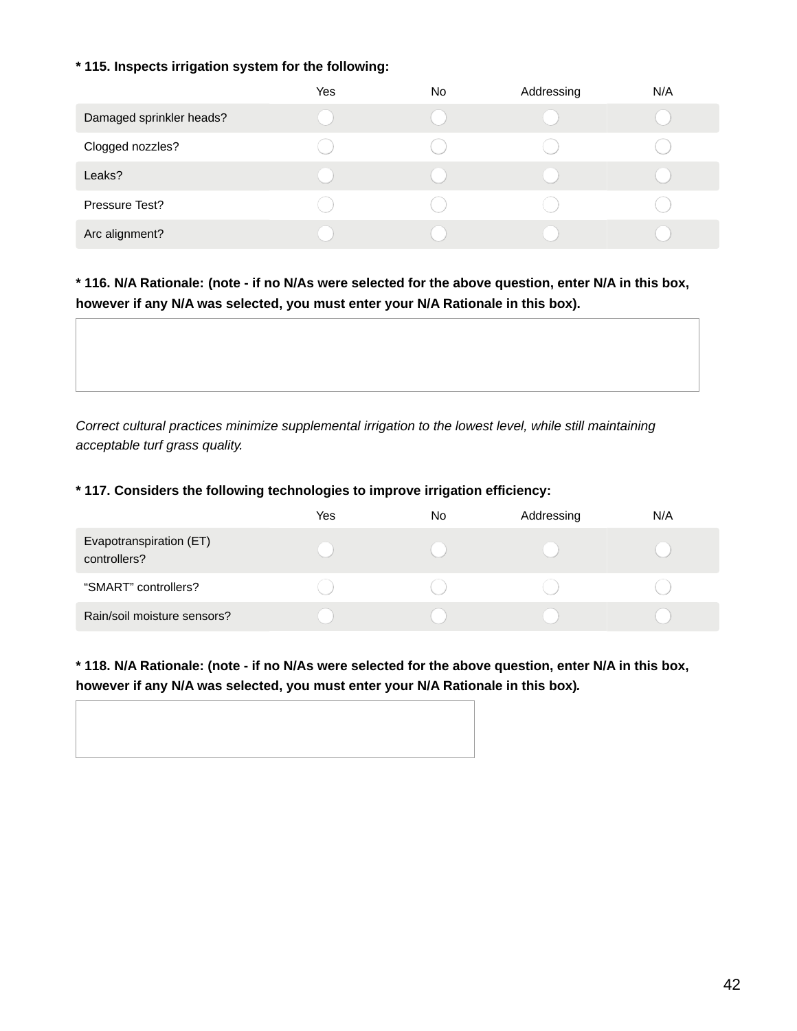#### **\* 115. Inspects irrigation system for the following:**

|                          | <b>Yes</b> | No. | Addressing | N/A |
|--------------------------|------------|-----|------------|-----|
| Damaged sprinkler heads? |            |     |            |     |
| Clogged nozzles?         |            |     |            |     |
| Leaks?                   |            |     |            |     |
| Pressure Test?           |            |     |            |     |
| Arc alignment?           |            |     |            |     |

\* 116. N/A Rationale: (note - if no N/As were selected for the above question, enter N/A in this box, **however if any N/A was selected, you must enter your N/A Rationale in this box).**

*Correct cultural practices minimize supplemental irrigation to the lowest level, while still maintaining acceptable turf grass quality.*

#### **\* 117. Considers the following technologies to improve irrigation efficiency:**

|                                         | Yes | No | Addressing | N/A |
|-----------------------------------------|-----|----|------------|-----|
| Evapotranspiration (ET)<br>controllers? |     |    |            |     |
| "SMART" controllers?                    |     |    |            |     |
| Rain/soil moisture sensors?             |     |    |            |     |

#### \* 118. N/A Rationale: (note - if no N/As were selected for the above question, enter N/A in this box, **however if any N/A was selected, you must enter your N/A Rationale in this box)***.*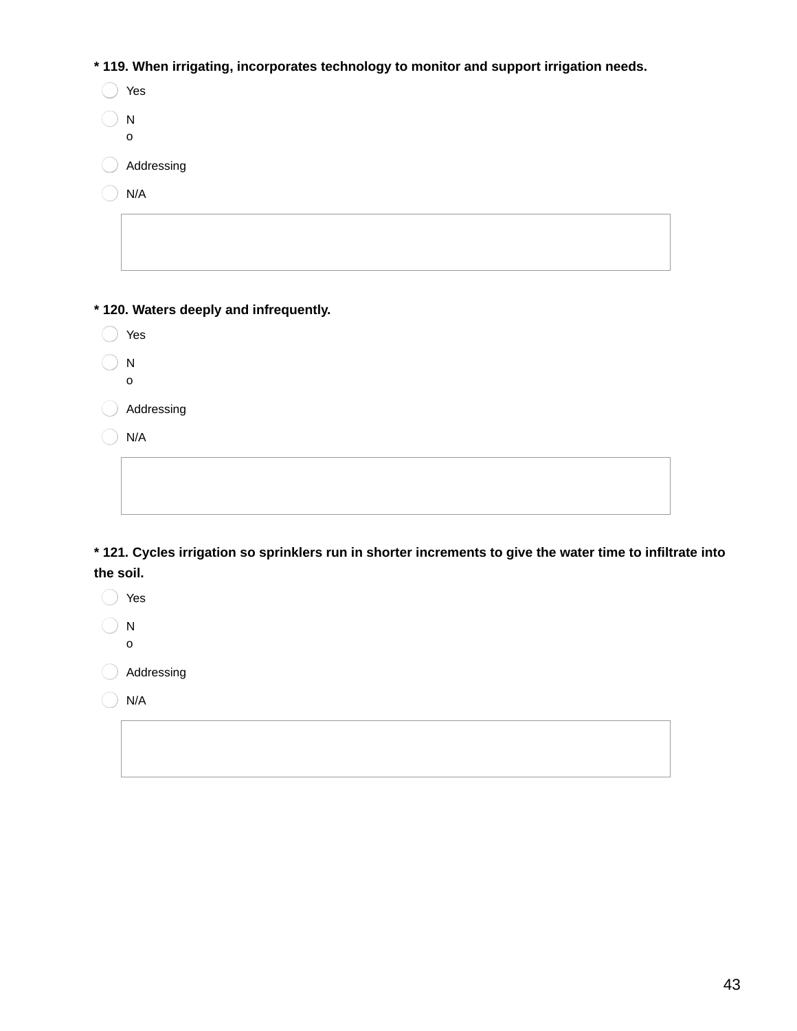**\* 119. When irrigating, incorporates technology to monitor and support irrigation needs.**

| Yes        |
|------------|
| N          |
| O          |
| Addressing |
| N/A        |

**\* 120. Waters deeply and infrequently.**

| Yes |
|-----|
|     |

 $\bigcirc$  N

o

Addressing

 $\bigcirc$  N/A

\* 121. Cycles irrigation so sprinklers run in shorter increments to give the water time to infiltrate into **the soil.**

◯ Yes  $\bigcirc$  N

o

Addressing

 $\bigcirc$  N/A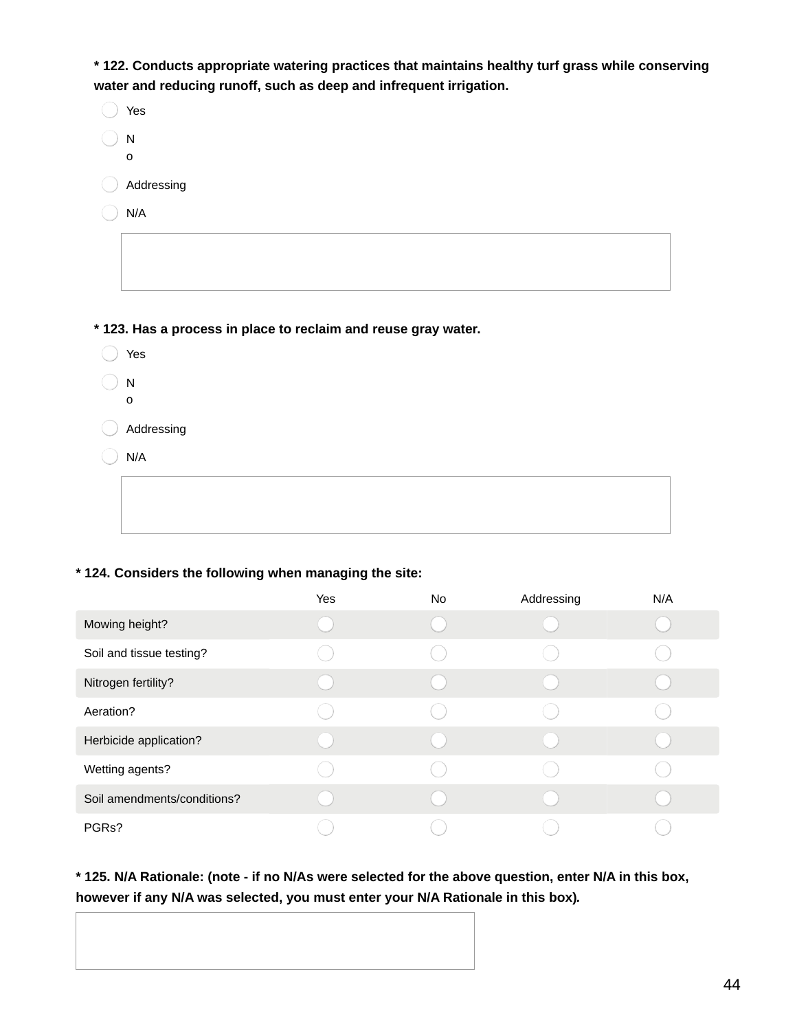**\* 122. Conducts appropriate watering practices that maintains healthy turf grass while conserving water and reducing runoff, such as deep and infrequent irrigation.**

| Yes            |
|----------------|
| ${\sf N}$      |
| $\mathsf{o}\,$ |
| Addressing     |
| N/A            |
|                |
|                |
|                |
|                |

**\* 123. Has a process in place to reclaim and reuse gray water.**

| Yes                       |
|---------------------------|
| ${\sf N}$<br>$\mathbf{o}$ |
| Addressing                |
| N/A                       |
|                           |
|                           |

#### **\* 124. Considers the following when managing the site:**

|                             | Yes | No. | Addressing | N/A |
|-----------------------------|-----|-----|------------|-----|
| Mowing height?              |     |     |            |     |
| Soil and tissue testing?    |     |     |            |     |
| Nitrogen fertility?         |     |     |            |     |
| Aeration?                   |     |     |            |     |
| Herbicide application?      |     |     |            |     |
| Wetting agents?             |     |     |            |     |
| Soil amendments/conditions? |     |     |            |     |
| PGRs?                       |     |     |            |     |

\* 125. N/A Rationale: (note - if no N/As were selected for the above question, enter N/A in this box, **however if any N/A was selected, you must enter your N/A Rationale in this box)***.*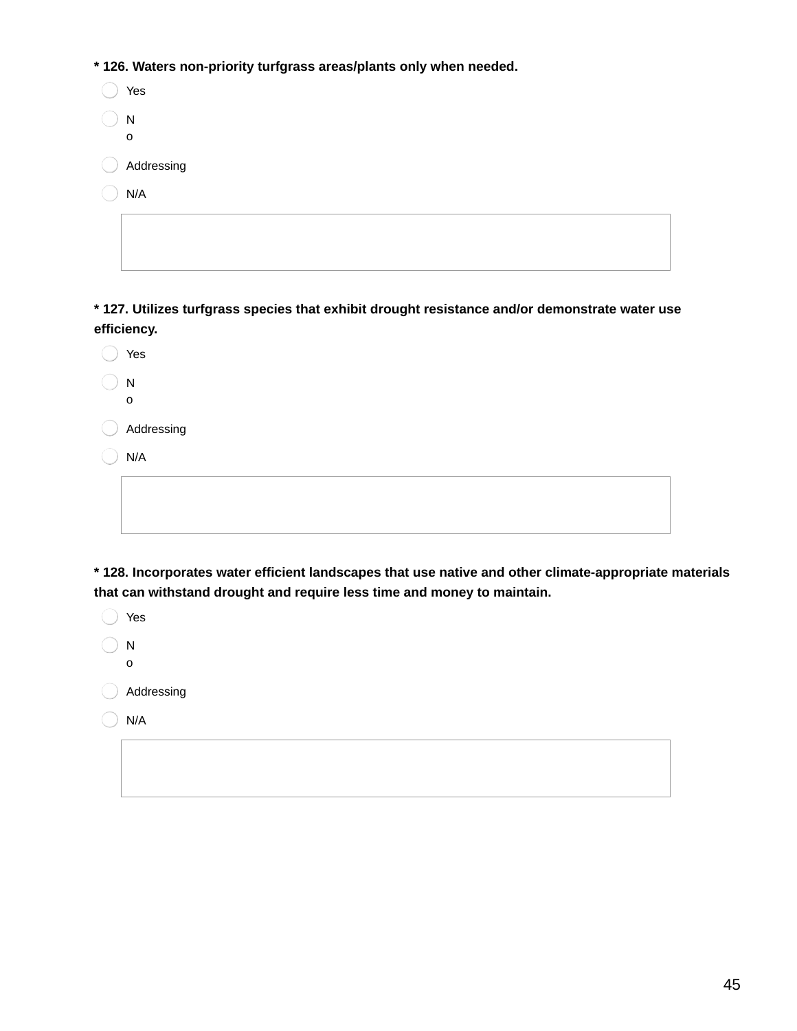**\* 126. Waters non-priority turfgrass areas/plants only when needed.**

| Yes        |
|------------|
| Ν<br>O     |
| Addressing |
| N/A        |
|            |

**\* 127. Utilizes turfgrass species that exhibit drought resistance and/or demonstrate water use efficiency.**

| Yes          |
|--------------|
| $\mathsf{N}$ |
| o            |
| Addressing   |
| N/A          |
|              |
|              |
|              |

**\* 128. Incorporates water efficient landscapes that use native and other climate-appropriate materials that can withstand drought and require less time and money to maintain.**

| Yes        |
|------------|
| N<br>o     |
| Addressing |
| N/A        |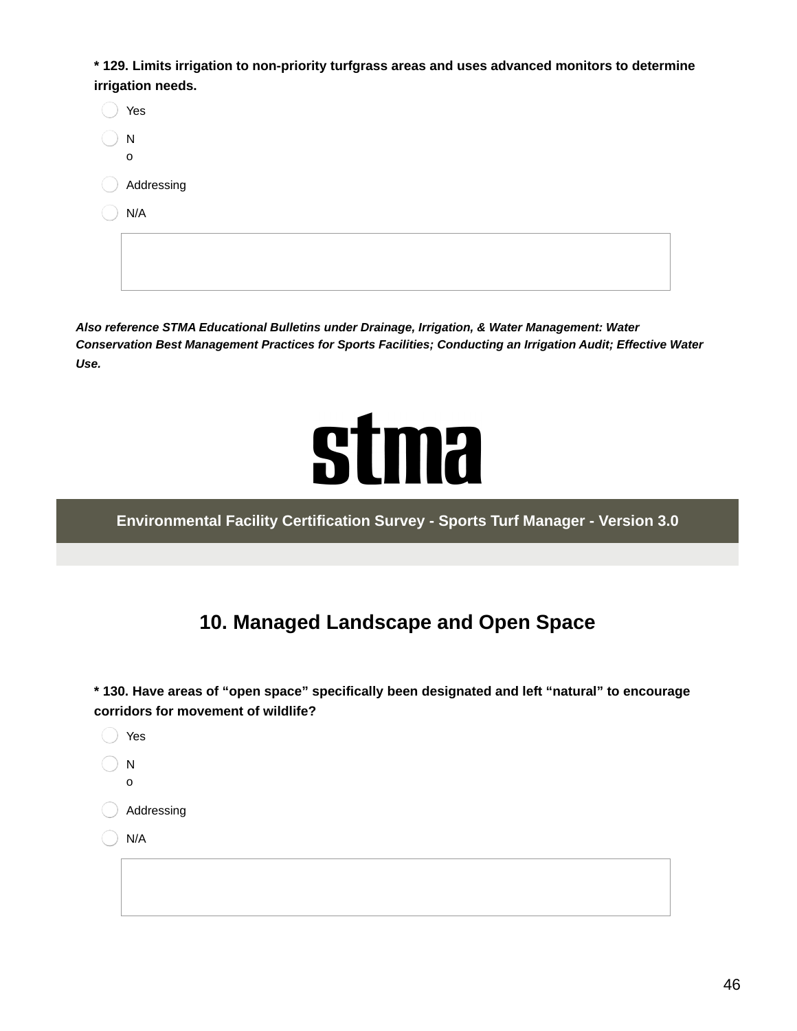**\* 129. Limits irrigation to non-priority turfgrass areas and uses advanced monitors to determine irrigation needs.**

| Yes                        |
|----------------------------|
| N                          |
| $\mathbf{o}$<br>Addressing |
| N/A                        |
|                            |
|                            |
|                            |

*Also reference STMA Educational Bulletins under Drainage, Irrigation, & Water Management: Water Conservation Best Management Practices for Sports Facilities; Conducting an Irrigation Audit; Effective Water Use.*



**Environmental Facility Certification Survey - Sports Turf Manager - Version 3.0**

## **10. Managed Landscape and Open Space**

**\* 130. Have areas of "open space" specifically been designated and left "natural" to encourage corridors for movement of wildlife?**

| Yes                       |
|---------------------------|
| ${\sf N}$<br>$\mathbf{o}$ |
| Addressing                |
| N/A                       |
|                           |
|                           |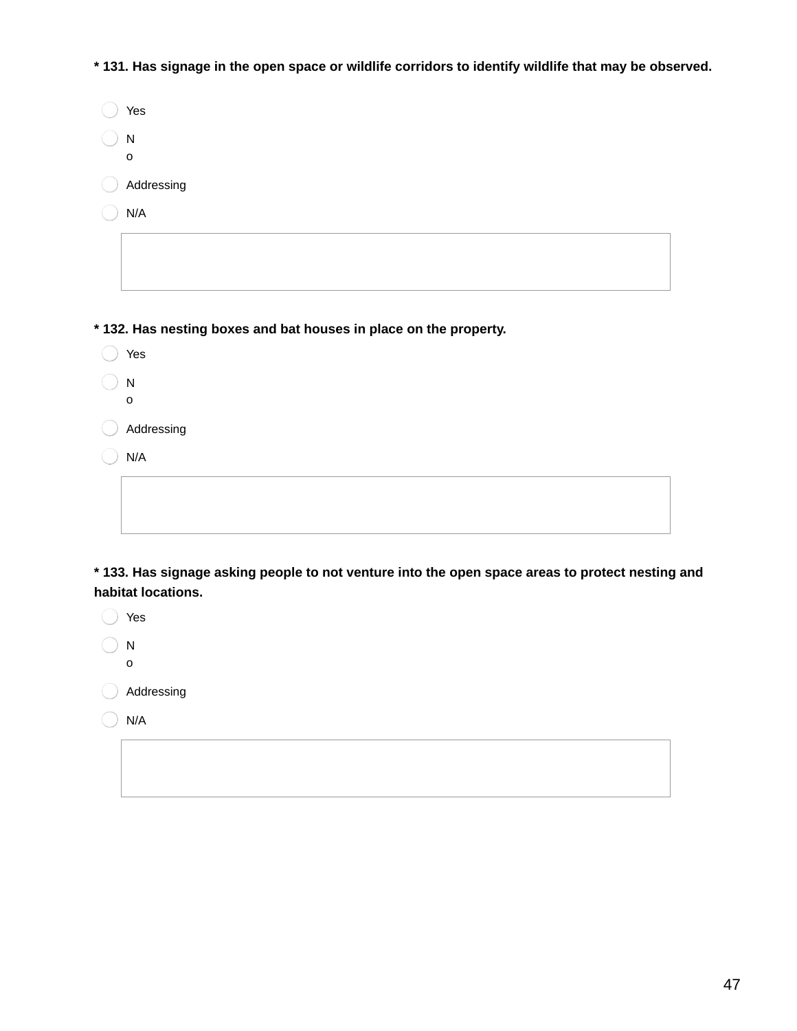\* 131. Has signage in the open space or wildlife corridors to identify wildlife that may be observed.

| Yes        |
|------------|
| N<br>O     |
| Addressing |
| N/A        |
|            |

**\* 132. Has nesting boxes and bat houses in place on the property.**

◯ Yes N o Addressing  $\bigcirc$  N/A

**\* 133. Has signage asking people to not venture into the open space areas to protect nesting and habitat locations.**

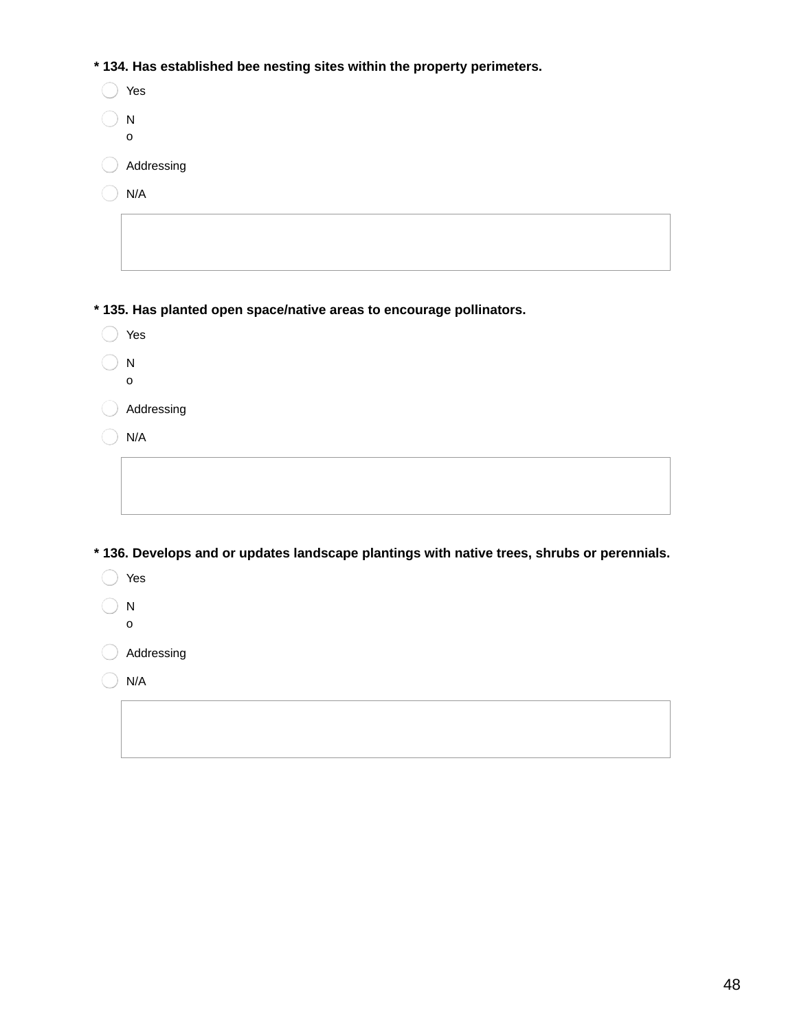**\* 134. Has established bee nesting sites within the property perimeters.**

| $^{\circ}$ 134. Has established bee nesting sites within the property perimeters.           |
|---------------------------------------------------------------------------------------------|
| Yes                                                                                         |
| ${\sf N}$                                                                                   |
| O                                                                                           |
| Addressing                                                                                  |
| N/A                                                                                         |
|                                                                                             |
|                                                                                             |
| * 135. Has planted open space/native areas to encourage pollinators.                        |
|                                                                                             |
| Yes                                                                                         |
| ${\sf N}$                                                                                   |
| o                                                                                           |
| Addressing                                                                                  |
| N/A                                                                                         |
|                                                                                             |
|                                                                                             |
|                                                                                             |
| * 136. Develops and or updates landscape plantings with native trees, shrubs or perennials. |
| Yes                                                                                         |
|                                                                                             |
| ${\sf N}$                                                                                   |
| 0                                                                                           |
| Addressing                                                                                  |
| N/A                                                                                         |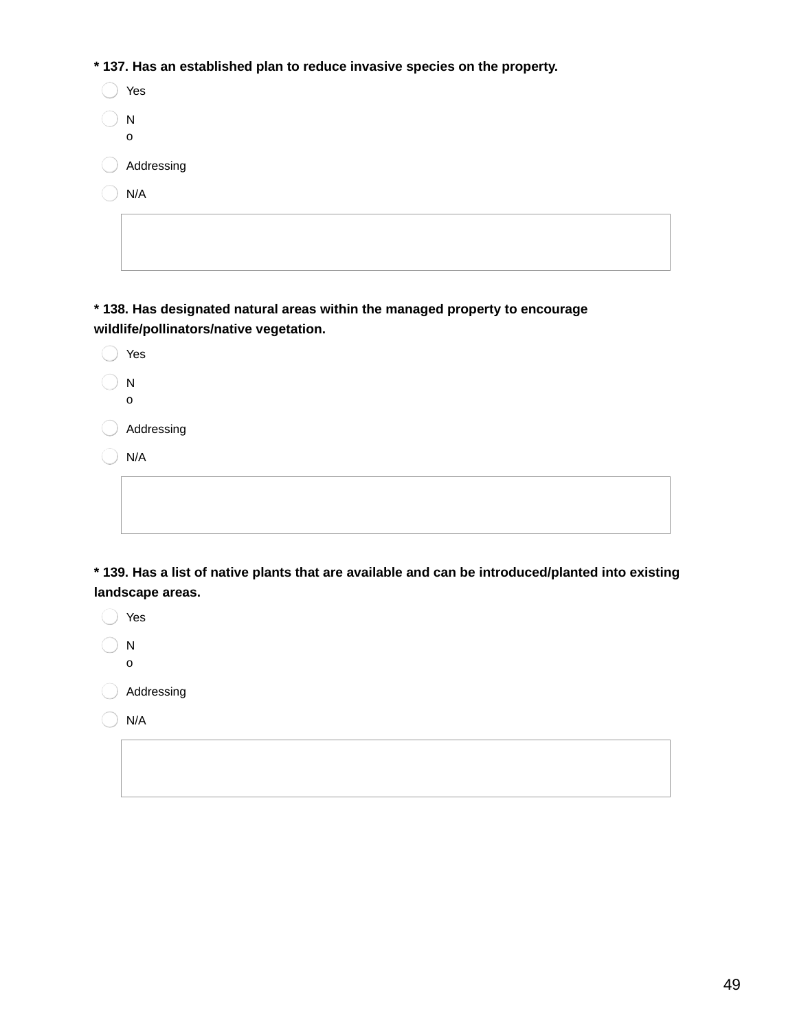**\* 137. Has an established plan to reduce invasive species on the property.**

| Yes        |
|------------|
| N<br>O     |
|            |
| Addressing |
| N/A        |
|            |

**\* 138. Has designated natural areas within the managed property to encourage wildlife/pollinators/native vegetation.**

| Yes          |
|--------------|
| ${\sf N}$    |
| $\mathbf{o}$ |
| Addressing   |
| N/A          |
|              |
|              |
|              |

**\* 139. Has a list of native plants that are available and can be introduced/planted into existing landscape areas.**

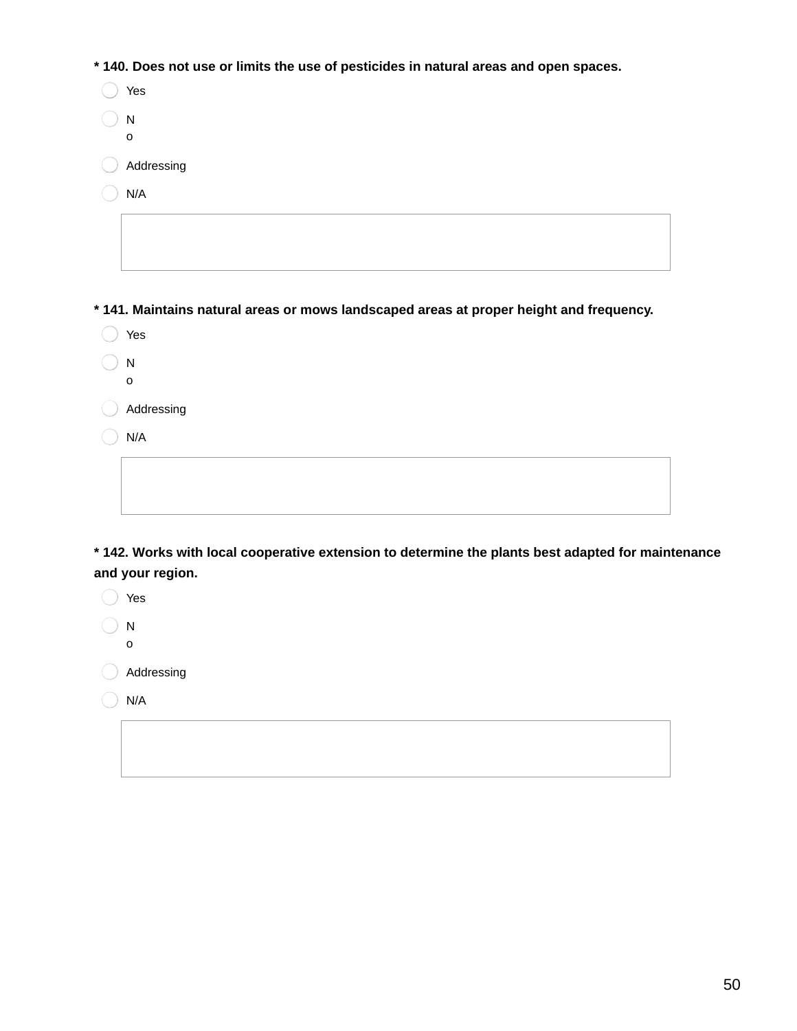**\* 140. Does not use or limits the use of pesticides in natural areas and open spaces.**

| Yes              |
|------------------|
| N<br>$\mathsf O$ |
| Addressing       |
| N/A              |
|                  |
|                  |

**\* 141. Maintains natural areas or mows landscaped areas at proper height and frequency.**

| Yes     |
|---------|
| ×<br>۰. |
|         |

 $\bigcirc$  N

o

Addressing

 $\bigcirc$  N/A

**\* 142. Works with local cooperative extension to determine the plants best adapted for maintenance and your region.**

◯ Yes  $\bigcirc$  N

o

Addressing

 $\bigcirc$  N/A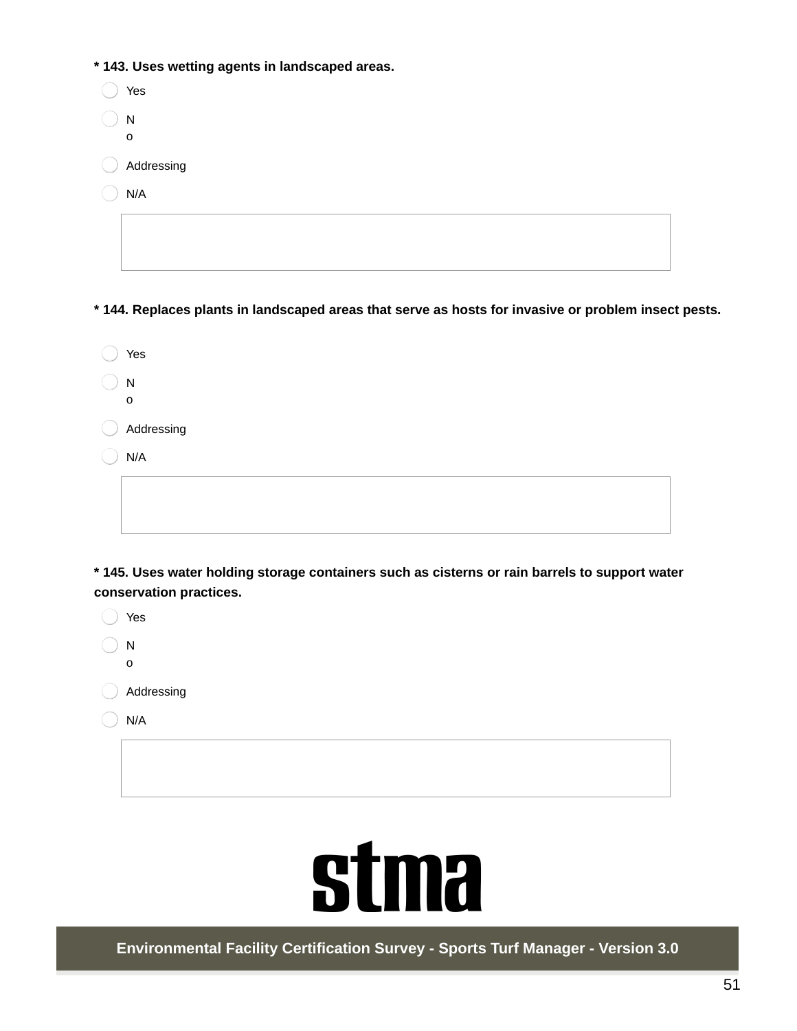**\* 143. Uses wetting agents in landscaped areas.**

| Yes               |  |
|-------------------|--|
| N<br>$\mathsf{o}$ |  |
| Addressing        |  |
| N/A               |  |
|                   |  |
|                   |  |

**\* 144. Replaces plants in landscaped areas that serve as hosts for invasive or problem insect pests.**

| Yes        |
|------------|
| N          |
| O          |
| Addressing |
| N/A        |
|            |
|            |

**\* 145. Uses water holding storage containers such as cisterns or rain barrels to support water conservation practices.**

| Yes        |
|------------|
| N<br>ი     |
| Addressing |

 $\bigcirc$  N/A



**Environmental Facility Certification Survey - Sports Turf Manager - Version 3.0**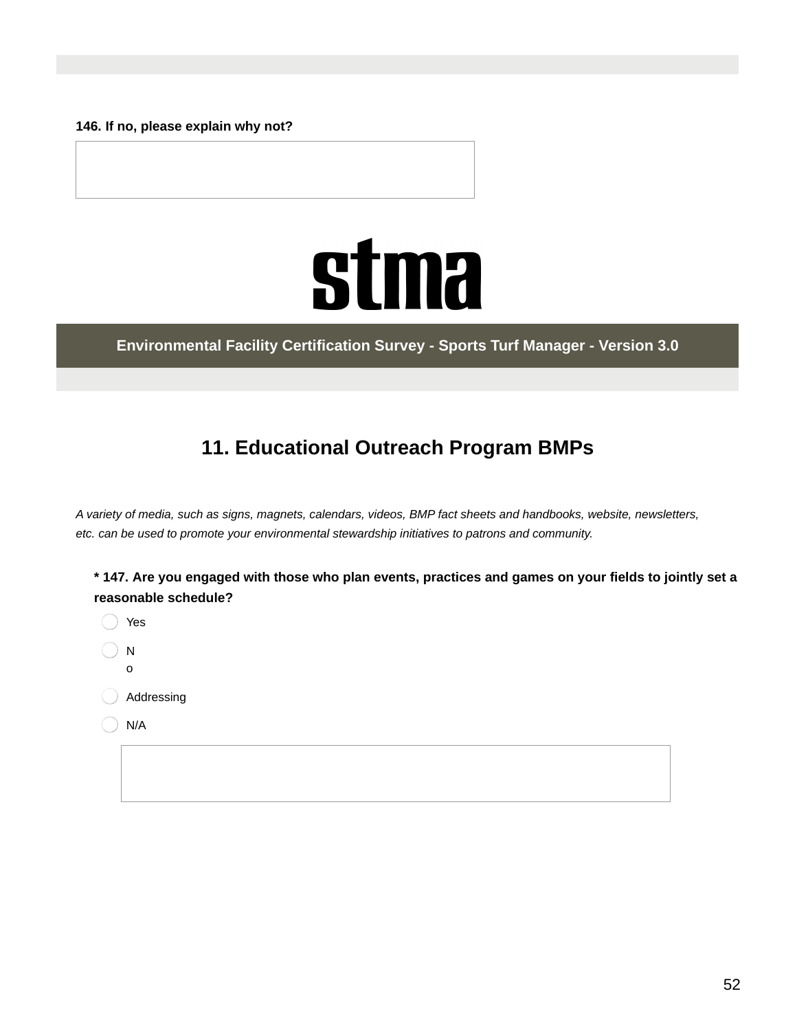**146. If no, please explain why not?**



**Environmental Facility Certification Survey - Sports Turf Manager - Version 3.0**

## **11. Educational Outreach Program BMPs**

A variety of media, such as signs, magnets, calendars, videos, BMP fact sheets and handbooks, website, newsletters, *etc. can be used to promote your environmental stewardship initiatives to patrons and community.*

| * 147. Are you engaged with those who plan events, practices and games on your fields to jointly set a |  |
|--------------------------------------------------------------------------------------------------------|--|
| reasonable schedule?                                                                                   |  |

Yes N o Addressing N/A

52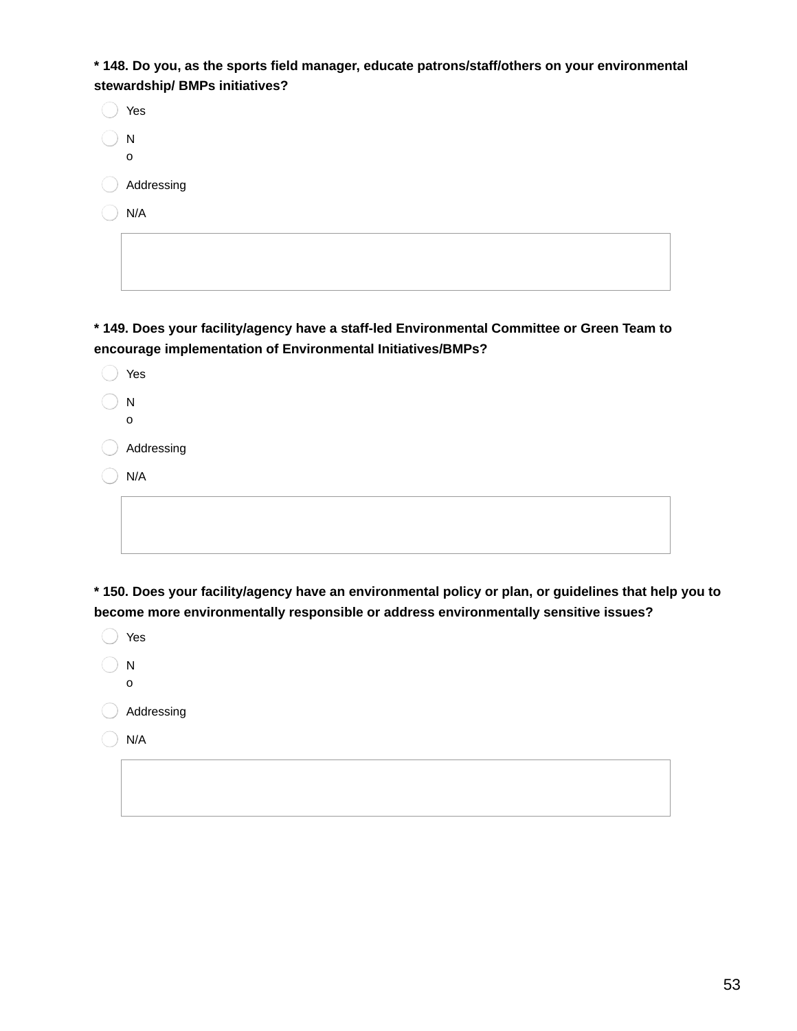**\* 148. Do you, as the sports field manager, educate patrons/staff/others on your environmental stewardship/ BMPs initiatives?**

| Yes         |
|-------------|
| ${\sf N}$   |
| $\mathbf 0$ |
| Addressing  |
| N/A         |
|             |
|             |

**\* 149. Does your facility/agency have a staff-led Environmental Committee or Green Team to encourage implementation of Environmental Initiatives/BMPs?**

| Yes         |
|-------------|
| N           |
| $\mathbf 0$ |
| Addressing  |
| N/A         |
|             |
|             |

**\* 150. Does your facility/agency have an environmental policy or plan, or guidelines that help you to become more environmentally responsible or address environmentally sensitive issues?**

| Yes        |
|------------|
| N<br>0     |
| Addressing |
| N/A        |
|            |
|            |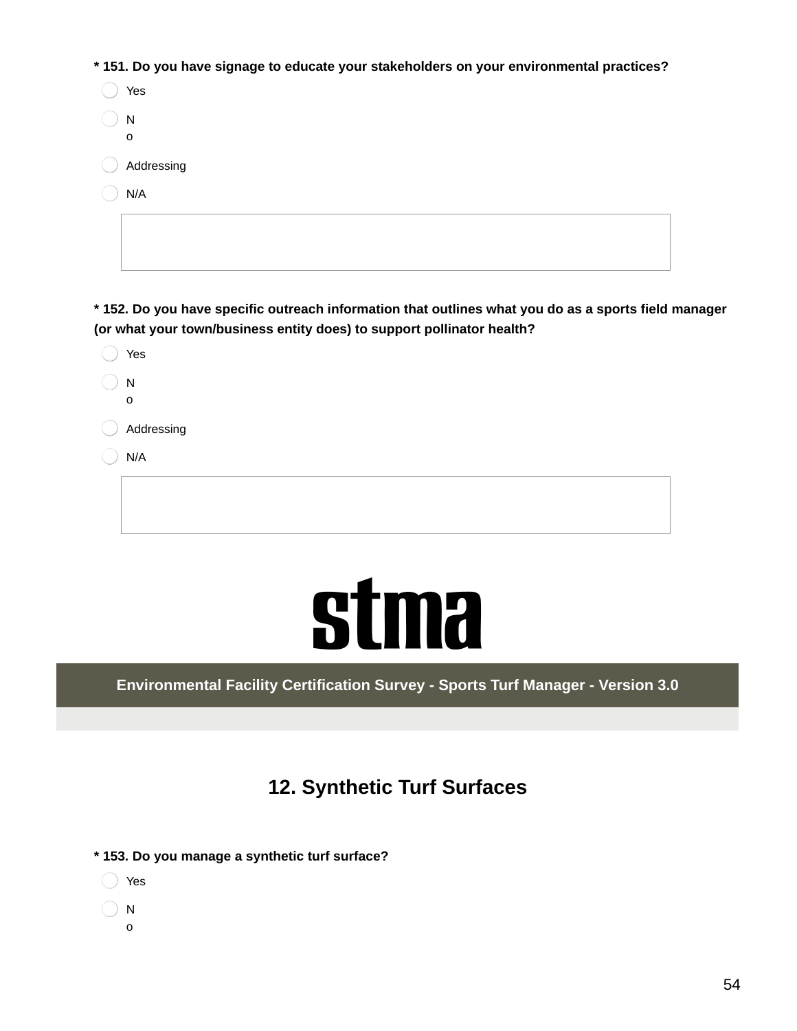**\* 151. Do you have signage to educate your stakeholders on your environmental practices?**

| Yes          |
|--------------|
| N            |
| $\mathsf{o}$ |
| Addressing   |
| N/A          |
|              |
|              |

\* 152. Do you have specific outreach information that outlines what you do as a sports field manager **(or what your town/business entity does) to support pollinator health?**

|                     | Yes                       |
|---------------------|---------------------------|
|                     | ${\sf N}$<br>$\mathsf{o}$ |
| and the contract of | Addressing                |
|                     | N/A                       |
|                     |                           |
|                     |                           |

## **stma**

**Environmental Facility Certification Survey - Sports Turf Manager - Version 3.0**

## **12. Synthetic Turf Surfaces**

- **\* 153. Do you manage a synthetic turf surface?**
	- Yes
	- $\setminus$  N
	- o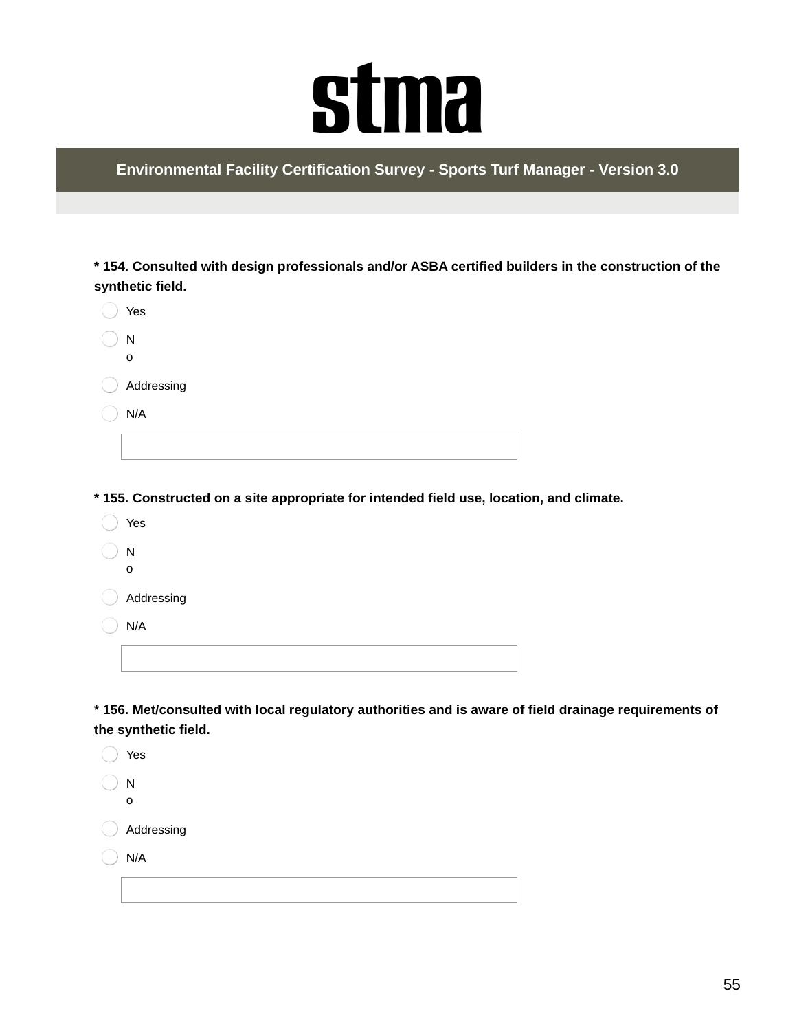# **stma**

**Environmental Facility Certification Survey - Sports Turf Manager - Version 3.0**

**\* 154. Consulted with design professionals and/or ASBA certified builders in the construction of the synthetic field.**

| Yes            |  |
|----------------|--|
| ${\sf N}$<br>o |  |
| Addressing     |  |
| N/A            |  |
|                |  |

**\* 155. Constructed on a site appropriate for intended field use, location, and climate.**

Yes N o Addressing N/A

**\* 156. Met/consulted with local regulatory authorities and is aware of field drainage requirements of the synthetic field.**

|             | Yes          |  |
|-------------|--------------|--|
|             | N            |  |
|             | $\mathsf{o}$ |  |
| the control | Addressing   |  |
|             | N/A          |  |
|             |              |  |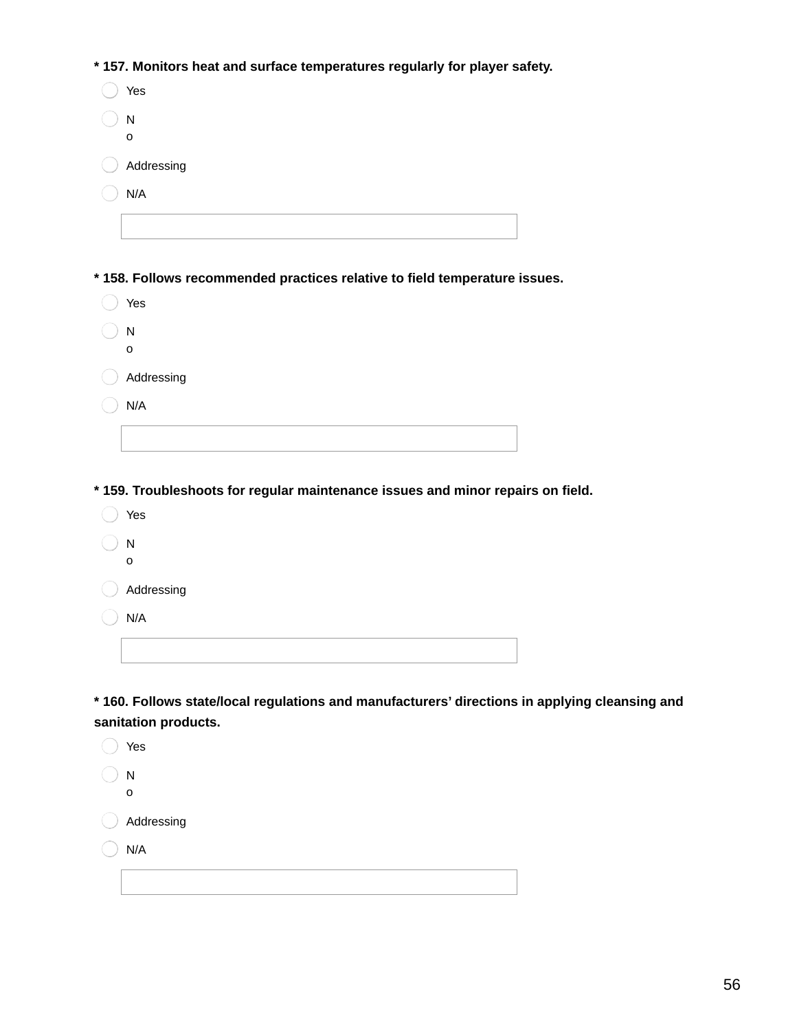**\* 157. Monitors heat and surface temperatures regularly for player safety.**

| Yes                                                                       |
|---------------------------------------------------------------------------|
| N                                                                         |
| O                                                                         |
| Addressing                                                                |
| N/A                                                                       |
|                                                                           |
|                                                                           |
| *158. Follows recommended practices relative to field temperature issues. |
| Yes                                                                       |
| N                                                                         |
|                                                                           |
| O                                                                         |

|   | IV.<br>o   |
|---|------------|
| € | Addressing |
|   | N/A        |
|   |            |

**\* 159. Troubleshoots for regular maintenance issues and minor repairs on field.**

◯ Yes  $\bigcirc$  N o

Addressing

 $\bigcap$  N/A

**\* 160. Follows state/local regulations and manufacturers' directions in applying cleansing and sanitation products.**

| Yes        |
|------------|
| N          |
| O          |
| Addressing |
| N/A        |
|            |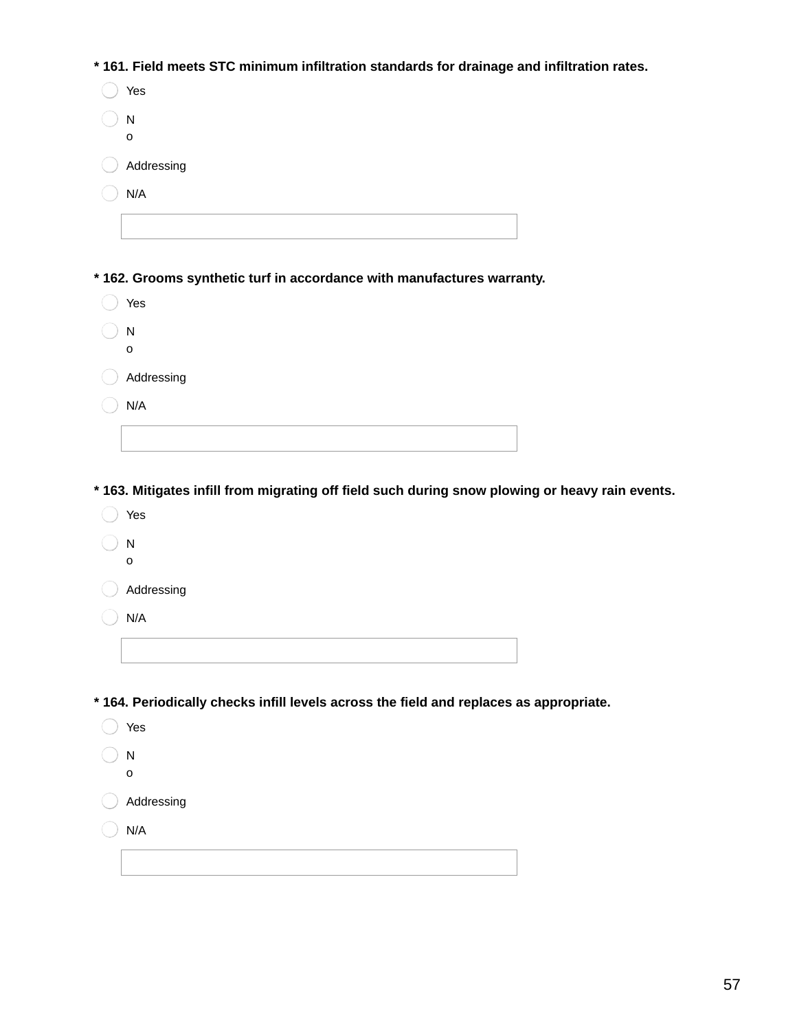**\* 161. Field meets STC minimum infiltration standards for drainage and infiltration rates.**

| N<br>o                                                                        |  |
|-------------------------------------------------------------------------------|--|
|                                                                               |  |
| Addressing                                                                    |  |
| N/A                                                                           |  |
|                                                                               |  |
| * 162. Grooms synthetic turf in accordance with manufactures warranty.<br>Yes |  |
| ${\sf N}$<br>O                                                                |  |
| Addressing                                                                    |  |
| N/A                                                                           |  |
|                                                                               |  |
|                                                                               |  |

**\* 163. Mitigates infill from migrating off field such during snow plowing or heavy rain events.**

- ◯ Yes
- $\bigcirc$  N o

Addressing

 $\bigcap$  N/A

**\* 164. Periodically checks infill levels across the field and replaces as appropriate.**

- ◯ Yes  $\bigcirc$  N o Addressing
- $\bigcirc$  N/A